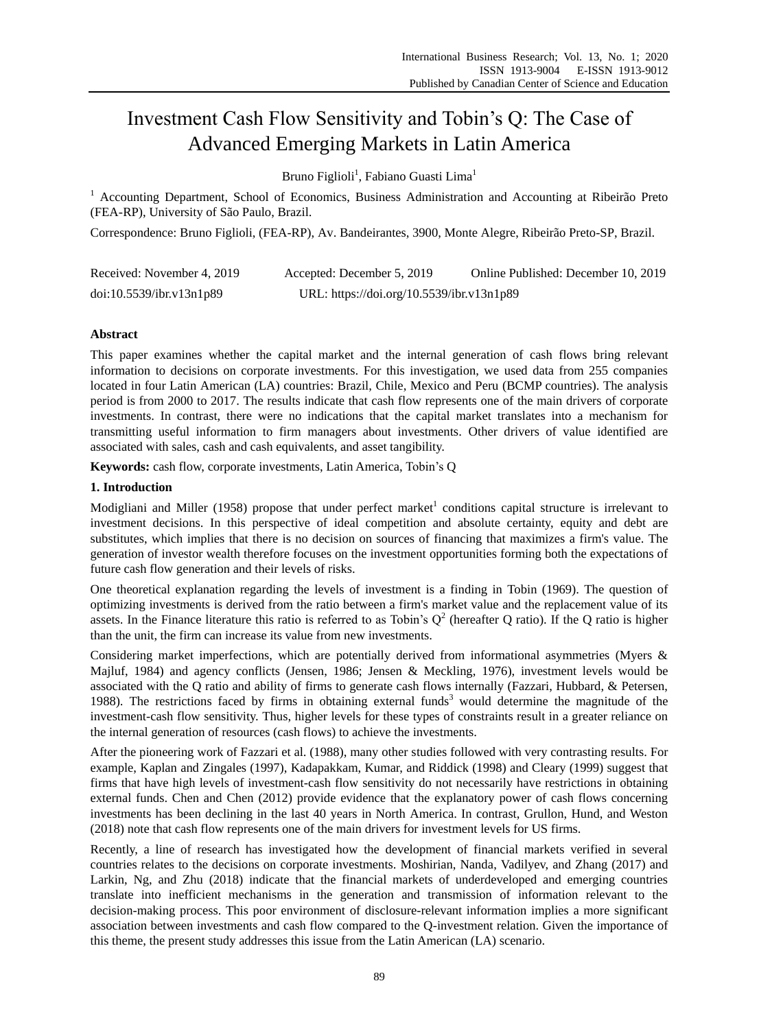# Investment Cash Flow Sensitivity and Tobin's Q: The Case of Advanced Emerging Markets in Latin America

Bruno Figlioli<sup>1</sup>, Fabiano Guasti Lima<sup>1</sup>

<sup>1</sup> Accounting Department, School of Economics, Business Administration and Accounting at Ribeir  $\tilde{a}$  Preto (FEA-RP), University of São Paulo, Brazil.

Correspondence: Bruno Figlioli, (FEA-RP), Av. Bandeirantes, 3900, Monte Alegre, Ribeirão Preto-SP, Brazil.

| Received: November 4, 2019 | Accepted: December 5, 2019                | Online Published: December 10, 2019 |
|----------------------------|-------------------------------------------|-------------------------------------|
| doi:10.5539/ibr.v13n1p89   | URL: https://doi.org/10.5539/ibr.v13n1p89 |                                     |

# **Abstract**

This paper examines whether the capital market and the internal generation of cash flows bring relevant information to decisions on corporate investments. For this investigation, we used data from 255 companies located in four Latin American (LA) countries: Brazil, Chile, Mexico and Peru (BCMP countries). The analysis period is from 2000 to 2017. The results indicate that cash flow represents one of the main drivers of corporate investments. In contrast, there were no indications that the capital market translates into a mechanism for transmitting useful information to firm managers about investments. Other drivers of value identified are associated with sales, cash and cash equivalents, and asset tangibility.

**Keywords:** cash flow, corporate investments, Latin America, Tobin's Q

# **1. Introduction**

Modigliani and Miller (1958) propose that under perfect market<sup>1</sup> conditions capital structure is irrelevant to investment decisions. In this perspective of ideal competition and absolute certainty, equity and debt are substitutes, which implies that there is no decision on sources of financing that maximizes a firm's value. The generation of investor wealth therefore focuses on the investment opportunities forming both the expectations of future cash flow generation and their levels of risks.

One theoretical explanation regarding the levels of investment is a finding in Tobin (1969). The question of optimizing investments is derived from the ratio between a firm's market value and the replacement value of its assets. In the Finance literature this ratio is referred to as Tobin's  $Q^2$  (hereafter Q ratio). If the Q ratio is higher than the unit, the firm can increase its value from new investments.

Considering market imperfections, which are potentially derived from informational asymmetries (Myers & Majluf, 1984) and agency conflicts (Jensen, 1986; Jensen & Meckling, 1976), investment levels would be associated with the Q ratio and ability of firms to generate cash flows internally (Fazzari, Hubbard, & Petersen, 1988). The restrictions faced by firms in obtaining external funds<sup>3</sup> would determine the magnitude of the investment-cash flow sensitivity. Thus, higher levels for these types of constraints result in a greater reliance on the internal generation of resources (cash flows) to achieve the investments.

After the pioneering work of Fazzari et al. (1988), many other studies followed with very contrasting results. For example, Kaplan and Zingales (1997), Kadapakkam, Kumar, and Riddick (1998) and Cleary (1999) suggest that firms that have high levels of investment-cash flow sensitivity do not necessarily have restrictions in obtaining external funds. Chen and Chen (2012) provide evidence that the explanatory power of cash flows concerning investments has been declining in the last 40 years in North America. In contrast, Grullon, Hund, and Weston (2018) note that cash flow represents one of the main drivers for investment levels for US firms.

Recently, a line of research has investigated how the development of financial markets verified in several countries relates to the decisions on corporate investments. Moshirian, Nanda, Vadilyev, and Zhang (2017) and Larkin, Ng, and Zhu (2018) indicate that the financial markets of underdeveloped and emerging countries translate into inefficient mechanisms in the generation and transmission of information relevant to the decision-making process. This poor environment of disclosure-relevant information implies a more significant association between investments and cash flow compared to the Q-investment relation. Given the importance of this theme, the present study addresses this issue from the Latin American (LA) scenario.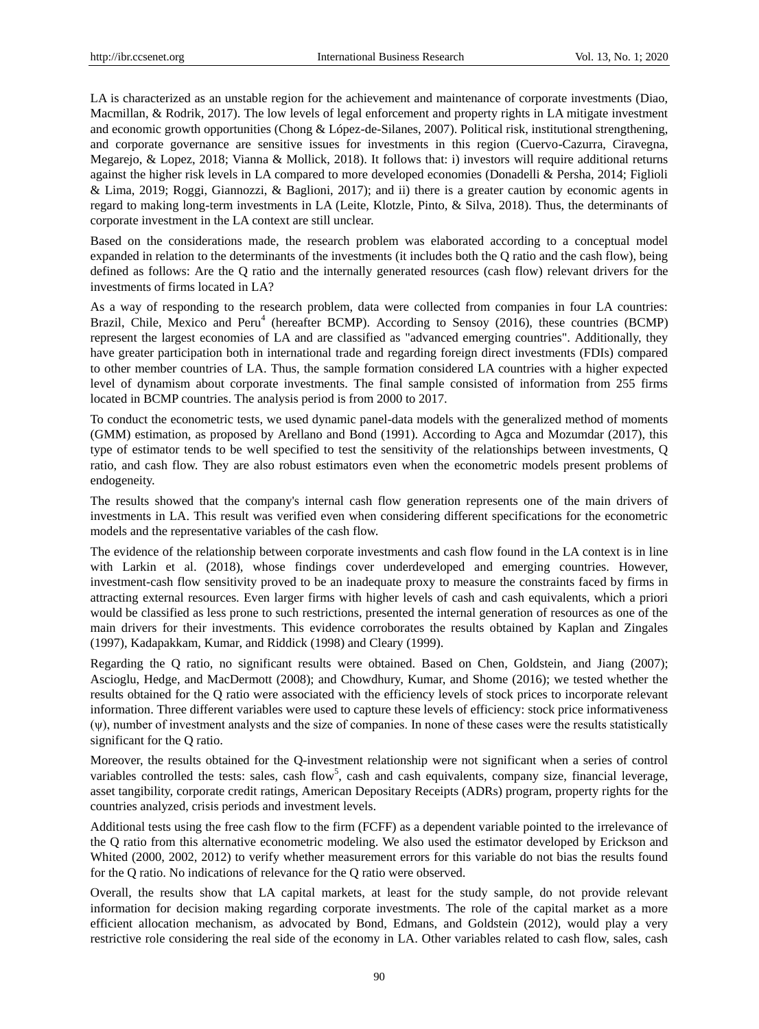LA is characterized as an unstable region for the achievement and maintenance of corporate investments (Diao, Macmillan, & Rodrik, 2017). The low levels of legal enforcement and property rights in LA mitigate investment and economic growth opportunities (Chong & López-de-Silanes, 2007). Political risk, institutional strengthening, and corporate governance are sensitive issues for investments in this region (Cuervo-Cazurra, Ciravegna, Megarejo, & Lopez, 2018; Vianna & Mollick, 2018). It follows that: i) investors will require additional returns against the higher risk levels in LA compared to more developed economies (Donadelli & Persha, 2014; Figlioli & Lima, 2019; Roggi, Giannozzi, & Baglioni, 2017); and ii) there is a greater caution by economic agents in regard to making long-term investments in LA (Leite, Klotzle, Pinto, & Silva, 2018). Thus, the determinants of corporate investment in the LA context are still unclear.

Based on the considerations made, the research problem was elaborated according to a conceptual model expanded in relation to the determinants of the investments (it includes both the Q ratio and the cash flow), being defined as follows: Are the Q ratio and the internally generated resources (cash flow) relevant drivers for the investments of firms located in LA?

As a way of responding to the research problem, data were collected from companies in four LA countries: Brazil, Chile, Mexico and Peru<sup>4</sup> (hereafter BCMP). According to Sensoy (2016), these countries (BCMP) represent the largest economies of LA and are classified as "advanced emerging countries". Additionally, they have greater participation both in international trade and regarding foreign direct investments (FDIs) compared to other member countries of LA. Thus, the sample formation considered LA countries with a higher expected level of dynamism about corporate investments. The final sample consisted of information from 255 firms located in BCMP countries. The analysis period is from 2000 to 2017.

To conduct the econometric tests, we used dynamic panel-data models with the generalized method of moments (GMM) estimation, as proposed by Arellano and Bond (1991). According to Agca and Mozumdar (2017), this type of estimator tends to be well specified to test the sensitivity of the relationships between investments, Q ratio, and cash flow. They are also robust estimators even when the econometric models present problems of endogeneity.

The results showed that the company's internal cash flow generation represents one of the main drivers of investments in LA. This result was verified even when considering different specifications for the econometric models and the representative variables of the cash flow.

The evidence of the relationship between corporate investments and cash flow found in the LA context is in line with Larkin et al. (2018), whose findings cover underdeveloped and emerging countries. However, investment-cash flow sensitivity proved to be an inadequate proxy to measure the constraints faced by firms in attracting external resources. Even larger firms with higher levels of cash and cash equivalents, which a priori would be classified as less prone to such restrictions, presented the internal generation of resources as one of the main drivers for their investments. This evidence corroborates the results obtained by Kaplan and Zingales (1997), Kadapakkam, Kumar, and Riddick (1998) and Cleary (1999).

Regarding the Q ratio, no significant results were obtained. Based on Chen, Goldstein, and Jiang (2007); Ascioglu, Hedge, and MacDermott (2008); and Chowdhury, Kumar, and Shome (2016); we tested whether the results obtained for the Q ratio were associated with the efficiency levels of stock prices to incorporate relevant information. Three different variables were used to capture these levels of efficiency: stock price informativeness (ψ), number of investment analysts and the size of companies. In none of these cases were the results statistically significant for the Q ratio.

Moreover, the results obtained for the Q-investment relationship were not significant when a series of control variables controlled the tests: sales, cash flow<sup>5</sup>, cash and cash equivalents, company size, financial leverage, asset tangibility, corporate credit ratings, American Depositary Receipts (ADRs) program, property rights for the countries analyzed, crisis periods and investment levels.

Additional tests using the free cash flow to the firm (FCFF) as a dependent variable pointed to the irrelevance of the Q ratio from this alternative econometric modeling. We also used the estimator developed by Erickson and Whited (2000, 2002, 2012) to verify whether measurement errors for this variable do not bias the results found for the Q ratio. No indications of relevance for the Q ratio were observed.

Overall, the results show that LA capital markets, at least for the study sample, do not provide relevant information for decision making regarding corporate investments. The role of the capital market as a more efficient allocation mechanism, as advocated by Bond, Edmans, and Goldstein (2012), would play a very restrictive role considering the real side of the economy in LA. Other variables related to cash flow, sales, cash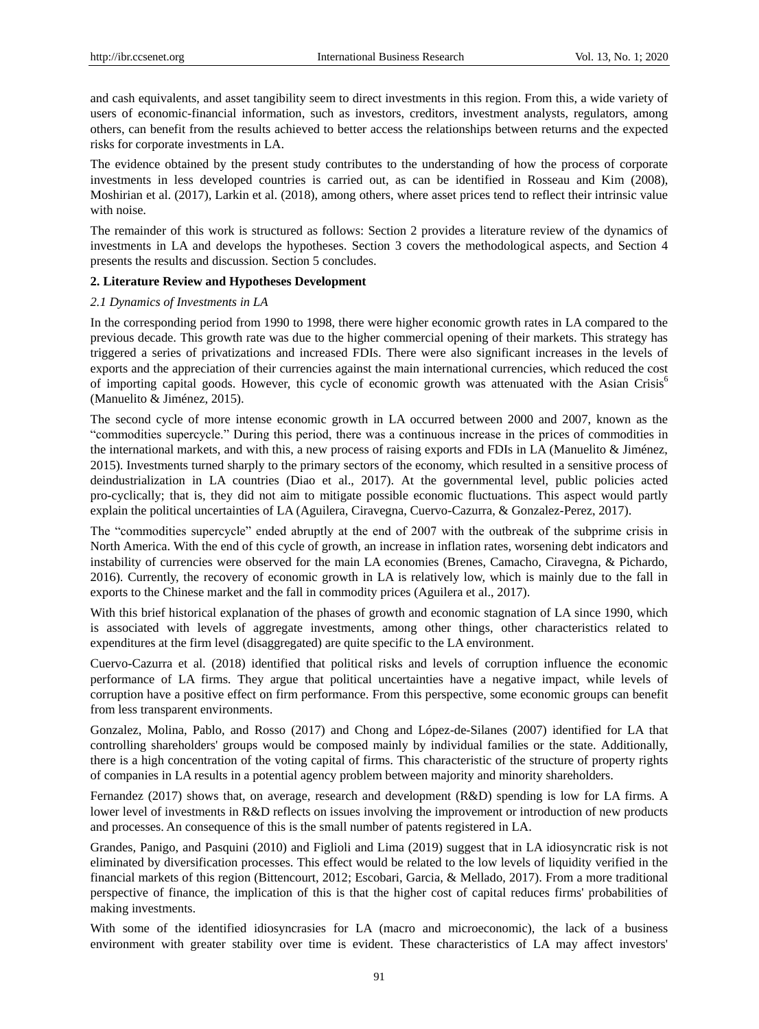and cash equivalents, and asset tangibility seem to direct investments in this region. From this, a wide variety of users of economic-financial information, such as investors, creditors, investment analysts, regulators, among others, can benefit from the results achieved to better access the relationships between returns and the expected risks for corporate investments in LA.

The evidence obtained by the present study contributes to the understanding of how the process of corporate investments in less developed countries is carried out, as can be identified in Rosseau and Kim (2008), Moshirian et al. (2017), Larkin et al. (2018), among others, where asset prices tend to reflect their intrinsic value with noise.

The remainder of this work is structured as follows: Section 2 provides a literature review of the dynamics of investments in LA and develops the hypotheses. Section 3 covers the methodological aspects, and Section 4 presents the results and discussion. Section 5 concludes.

## **2. Literature Review and Hypotheses Development**

#### *2.1 Dynamics of Investments in LA*

In the corresponding period from 1990 to 1998, there were higher economic growth rates in LA compared to the previous decade. This growth rate was due to the higher commercial opening of their markets. This strategy has triggered a series of privatizations and increased FDIs. There were also significant increases in the levels of exports and the appreciation of their currencies against the main international currencies, which reduced the cost of importing capital goods. However, this cycle of economic growth was attenuated with the Asian Crisis<sup>6</sup> (Manuelito & Jiménez, 2015).

The second cycle of more intense economic growth in LA occurred between 2000 and 2007, known as the "commodities supercycle." During this period, there was a continuous increase in the prices of commodities in the international markets, and with this, a new process of raising exports and FDIs in LA (Manuelito & Jiménez, 2015). Investments turned sharply to the primary sectors of the economy, which resulted in a sensitive process of deindustrialization in LA countries (Diao et al., 2017). At the governmental level, public policies acted pro-cyclically; that is, they did not aim to mitigate possible economic fluctuations. This aspect would partly explain the political uncertainties of LA (Aguilera, Ciravegna, Cuervo-Cazurra, & Gonzalez-Perez, 2017).

The "commodities supercycle" ended abruptly at the end of 2007 with the outbreak of the subprime crisis in North America. With the end of this cycle of growth, an increase in inflation rates, worsening debt indicators and instability of currencies were observed for the main LA economies (Brenes, Camacho, Ciravegna, & Pichardo, 2016). Currently, the recovery of economic growth in LA is relatively low, which is mainly due to the fall in exports to the Chinese market and the fall in commodity prices (Aguilera et al., 2017).

With this brief historical explanation of the phases of growth and economic stagnation of LA since 1990, which is associated with levels of aggregate investments, among other things, other characteristics related to expenditures at the firm level (disaggregated) are quite specific to the LA environment.

Cuervo-Cazurra et al. (2018) identified that political risks and levels of corruption influence the economic performance of LA firms. They argue that political uncertainties have a negative impact, while levels of corruption have a positive effect on firm performance. From this perspective, some economic groups can benefit from less transparent environments.

Gonzalez, Molina, Pablo, and Rosso (2017) and Chong and López-de-Silanes (2007) identified for LA that controlling shareholders' groups would be composed mainly by individual families or the state. Additionally, there is a high concentration of the voting capital of firms. This characteristic of the structure of property rights of companies in LA results in a potential agency problem between majority and minority shareholders.

Fernandez (2017) shows that, on average, research and development (R&D) spending is low for LA firms. A lower level of investments in R&D reflects on issues involving the improvement or introduction of new products and processes. An consequence of this is the small number of patents registered in LA.

Grandes, Panigo, and Pasquini (2010) and Figlioli and Lima (2019) suggest that in LA idiosyncratic risk is not eliminated by diversification processes. This effect would be related to the low levels of liquidity verified in the financial markets of this region (Bittencourt, 2012; Escobari, Garcia, & Mellado, 2017). From a more traditional perspective of finance, the implication of this is that the higher cost of capital reduces firms' probabilities of making investments.

With some of the identified idiosyncrasies for LA (macro and microeconomic), the lack of a business environment with greater stability over time is evident. These characteristics of LA may affect investors'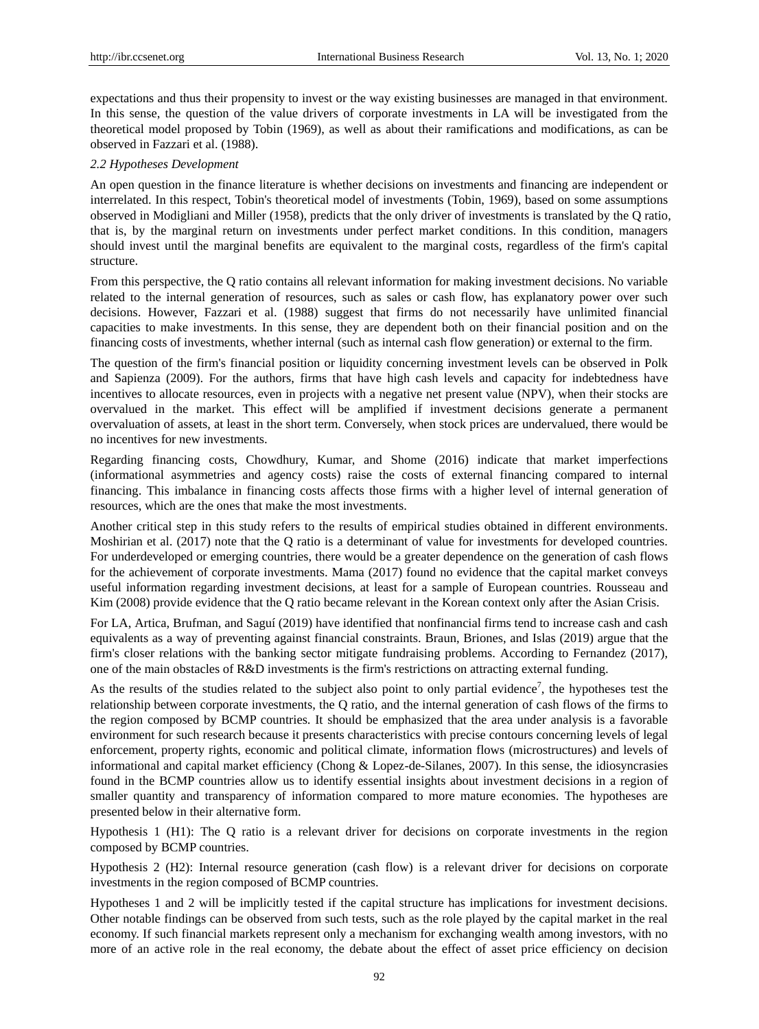expectations and thus their propensity to invest or the way existing businesses are managed in that environment. In this sense, the question of the value drivers of corporate investments in LA will be investigated from the theoretical model proposed by Tobin (1969), as well as about their ramifications and modifications, as can be observed in Fazzari et al. (1988).

#### *2.2 Hypotheses Development*

An open question in the finance literature is whether decisions on investments and financing are independent or interrelated. In this respect, Tobin's theoretical model of investments (Tobin, 1969), based on some assumptions observed in Modigliani and Miller (1958), predicts that the only driver of investments is translated by the Q ratio, that is, by the marginal return on investments under perfect market conditions. In this condition, managers should invest until the marginal benefits are equivalent to the marginal costs, regardless of the firm's capital structure.

From this perspective, the Q ratio contains all relevant information for making investment decisions. No variable related to the internal generation of resources, such as sales or cash flow, has explanatory power over such decisions. However, Fazzari et al. (1988) suggest that firms do not necessarily have unlimited financial capacities to make investments. In this sense, they are dependent both on their financial position and on the financing costs of investments, whether internal (such as internal cash flow generation) or external to the firm.

The question of the firm's financial position or liquidity concerning investment levels can be observed in Polk and Sapienza (2009). For the authors, firms that have high cash levels and capacity for indebtedness have incentives to allocate resources, even in projects with a negative net present value (NPV), when their stocks are overvalued in the market. This effect will be amplified if investment decisions generate a permanent overvaluation of assets, at least in the short term. Conversely, when stock prices are undervalued, there would be no incentives for new investments.

Regarding financing costs, Chowdhury, Kumar, and Shome (2016) indicate that market imperfections (informational asymmetries and agency costs) raise the costs of external financing compared to internal financing. This imbalance in financing costs affects those firms with a higher level of internal generation of resources, which are the ones that make the most investments.

Another critical step in this study refers to the results of empirical studies obtained in different environments. Moshirian et al. (2017) note that the Q ratio is a determinant of value for investments for developed countries. For underdeveloped or emerging countries, there would be a greater dependence on the generation of cash flows for the achievement of corporate investments. Mama (2017) found no evidence that the capital market conveys useful information regarding investment decisions, at least for a sample of European countries. Rousseau and Kim (2008) provide evidence that the Q ratio became relevant in the Korean context only after the Asian Crisis.

For LA, Artica, Brufman, and Saguí (2019) have identified that nonfinancial firms tend to increase cash and cash equivalents as a way of preventing against financial constraints. Braun, Briones, and Islas (2019) argue that the firm's closer relations with the banking sector mitigate fundraising problems. According to Fernandez (2017), one of the main obstacles of R&D investments is the firm's restrictions on attracting external funding.

As the results of the studies related to the subject also point to only partial evidence<sup>7</sup>, the hypotheses test the relationship between corporate investments, the Q ratio, and the internal generation of cash flows of the firms to the region composed by BCMP countries. It should be emphasized that the area under analysis is a favorable environment for such research because it presents characteristics with precise contours concerning levels of legal enforcement, property rights, economic and political climate, information flows (microstructures) and levels of informational and capital market efficiency (Chong & Lopez-de-Silanes, 2007). In this sense, the idiosyncrasies found in the BCMP countries allow us to identify essential insights about investment decisions in a region of smaller quantity and transparency of information compared to more mature economies. The hypotheses are presented below in their alternative form.

Hypothesis 1 (H1): The Q ratio is a relevant driver for decisions on corporate investments in the region composed by BCMP countries.

Hypothesis 2 (H2): Internal resource generation (cash flow) is a relevant driver for decisions on corporate investments in the region composed of BCMP countries.

Hypotheses 1 and 2 will be implicitly tested if the capital structure has implications for investment decisions. Other notable findings can be observed from such tests, such as the role played by the capital market in the real economy. If such financial markets represent only a mechanism for exchanging wealth among investors, with no more of an active role in the real economy, the debate about the effect of asset price efficiency on decision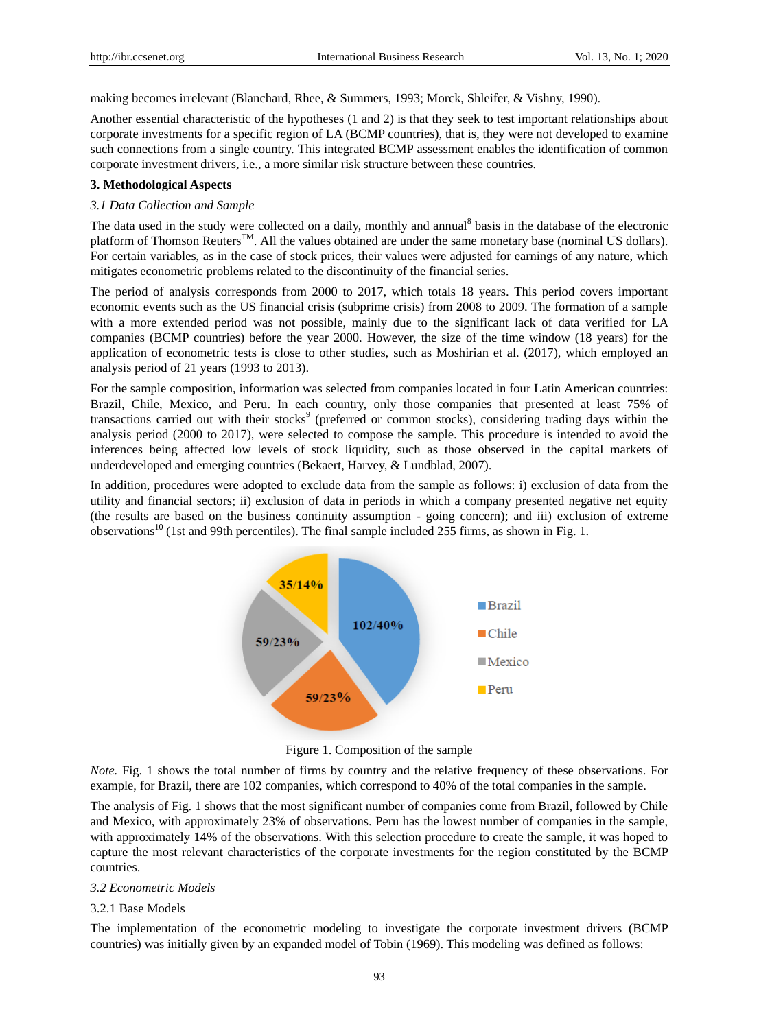making becomes irrelevant (Blanchard, Rhee, & Summers, 1993; Morck, Shleifer, & Vishny, 1990).

Another essential characteristic of the hypotheses (1 and 2) is that they seek to test important relationships about corporate investments for a specific region of LA (BCMP countries), that is, they were not developed to examine such connections from a single country. This integrated BCMP assessment enables the identification of common corporate investment drivers, i.e., a more similar risk structure between these countries.

#### **3. Methodological Aspects**

#### *3.1 Data Collection and Sample*

The data used in the study were collected on a daily, monthly and annual<sup>8</sup> basis in the database of the electronic platform of Thomson Reuters<sup>TM</sup>. All the values obtained are under the same monetary base (nominal US dollars). For certain variables, as in the case of stock prices, their values were adjusted for earnings of any nature, which mitigates econometric problems related to the discontinuity of the financial series.

The period of analysis corresponds from 2000 to 2017, which totals 18 years. This period covers important economic events such as the US financial crisis (subprime crisis) from 2008 to 2009. The formation of a sample with a more extended period was not possible, mainly due to the significant lack of data verified for LA companies (BCMP countries) before the year 2000. However, the size of the time window (18 years) for the application of econometric tests is close to other studies, such as Moshirian et al. (2017), which employed an analysis period of 21 years (1993 to 2013).

For the sample composition, information was selected from companies located in four Latin American countries: Brazil, Chile, Mexico, and Peru. In each country, only those companies that presented at least 75% of transactions carried out with their stocks<sup>9</sup> (preferred or common stocks), considering trading days within the analysis period (2000 to 2017), were selected to compose the sample. This procedure is intended to avoid the inferences being affected low levels of stock liquidity, such as those observed in the capital markets of underdeveloped and emerging countries (Bekaert, Harvey, & Lundblad, 2007).

In addition, procedures were adopted to exclude data from the sample as follows: i) exclusion of data from the utility and financial sectors; ii) exclusion of data in periods in which a company presented negative net equity (the results are based on the business continuity assumption - going concern); and iii) exclusion of extreme observations<sup>10</sup> (1st and 99th percentiles). The final sample included 255 firms, as shown in Fig. 1.



Figure 1. Composition of the sample

*Note.* Fig. 1 shows the total number of firms by country and the relative frequency of these observations. For example, for Brazil, there are 102 companies, which correspond to 40% of the total companies in the sample.

The analysis of Fig. 1 shows that the most significant number of companies come from Brazil, followed by Chile and Mexico, with approximately 23% of observations. Peru has the lowest number of companies in the sample, with approximately 14% of the observations. With this selection procedure to create the sample, it was hoped to capture the most relevant characteristics of the corporate investments for the region constituted by the BCMP countries.

#### *3.2 Econometric Models*

# 3.2.1 Base Models

The implementation of the econometric modeling to investigate the corporate investment drivers (BCMP countries) was initially given by an expanded model of Tobin (1969). This modeling was defined as follows: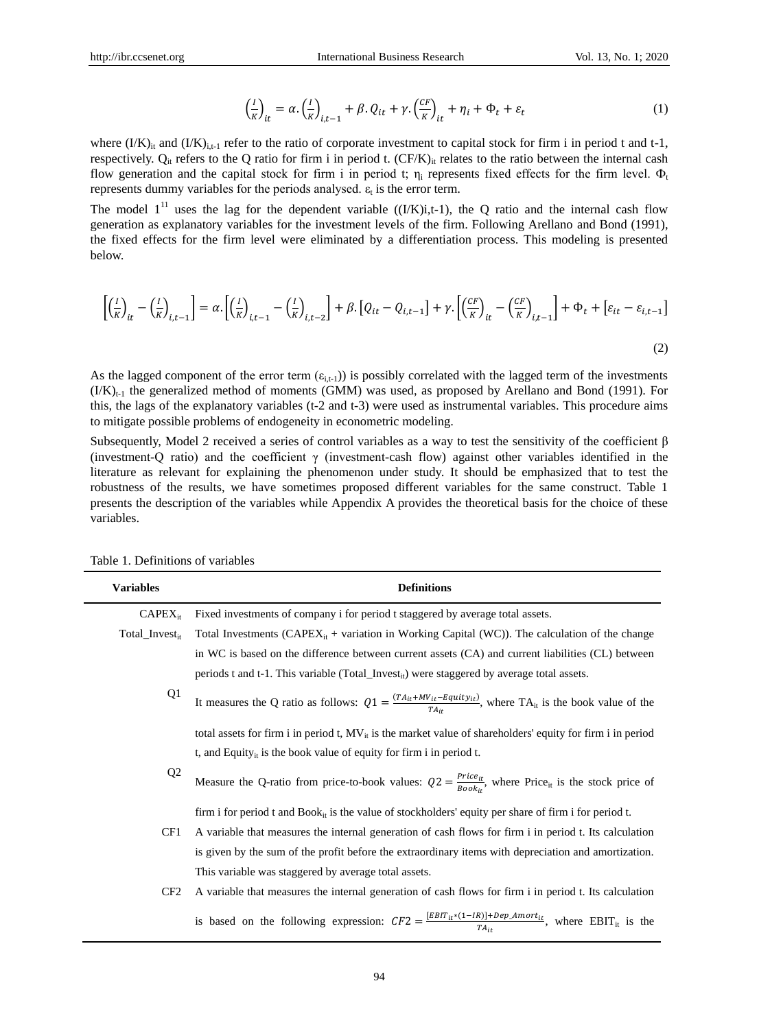$$
\left(\frac{I}{K}\right)_{it} = \alpha \left(\frac{I}{K}\right)_{i,t-1} + \beta \left(Q_{it} + \gamma \left(\frac{CF}{K}\right)_{it} + \eta_i + \Phi_t + \varepsilon_t\right) \tag{1}
$$

where  $(IX)_{it}$  and  $(IX)_{it-1}$  refer to the ratio of corporate investment to capital stock for firm i in period t and t-1, respectively.  $Q_{it}$  refers to the Q ratio for firm i in period t.  $(CF/K)_{it}$  relates to the ratio between the internal cash flow generation and the capital stock for firm i in period t;  $\eta_i$  represents fixed effects for the firm level.  $\Phi_t$ represents dummy variables for the periods analysed.  $\varepsilon_t$  is the error term.

The model  $1<sup>11</sup>$  uses the lag for the dependent variable ((I/K)i,t-1), the Q ratio and the internal cash flow generation as explanatory variables for the investment levels of the firm. Following Arellano and Bond (1991), the fixed effects for the firm level were eliminated by a differentiation process. This modeling is presented below.

$$
\left[\left(\frac{l}{\kappa}\right)_{it} - \left(\frac{l}{\kappa}\right)_{i,t-1}\right] = \alpha \cdot \left[\left(\frac{l}{\kappa}\right)_{i,t-1} - \left(\frac{l}{\kappa}\right)_{i,t-2}\right] + \beta \cdot \left[Q_{it} - Q_{i,t-1}\right] + \gamma \cdot \left[\left(\frac{c_F}{\kappa}\right)_{it} - \left(\frac{c_F}{\kappa}\right)_{i,t-1}\right] + \Phi_t + \left[\varepsilon_{it} - \varepsilon_{i,t-1}\right]
$$
\n(2)

As the lagged component of the error term  $(\epsilon_{i,t-1})$  is possibly correlated with the lagged term of the investments  $(1/K)_{t-1}$  the generalized method of moments (GMM) was used, as proposed by Arellano and Bond (1991). For this, the lags of the explanatory variables (t-2 and t-3) were used as instrumental variables. This procedure aims to mitigate possible problems of endogeneity in econometric modeling.

Subsequently, Model 2 received a series of control variables as a way to test the sensitivity of the coefficient β (investment-Q ratio) and the coefficient  $\gamma$  (investment-cash flow) against other variables identified in the literature as relevant for explaining the phenomenon under study. It should be emphasized that to test the robustness of the results, we have sometimes proposed different variables for the same construct. Table 1 presents the description of the variables while Appendix A provides the theoretical basis for the choice of these variables.

| Variables                  | <b>Definitions</b>                                                                                                                             |
|----------------------------|------------------------------------------------------------------------------------------------------------------------------------------------|
| $CAPEX_{it}$               | Fixed investments of company i for period t staggered by average total assets.                                                                 |
| Total_Invest <sub>it</sub> | Total Investments $(CAPEX_{it} +$ variation in Working Capital (WC)). The calculation of the change                                            |
|                            | in WC is based on the difference between current assets (CA) and current liabilities (CL) between                                              |
|                            | periods t and t-1. This variable (Total_Invest <sub>it</sub> ) were staggered by average total assets.                                         |
| Q1                         | It measures the Q ratio as follows: $Q1 = \frac{(TA_{it} + MV_{it} - Equity_{it})}{TA_{it}}$ , where TA <sub>it</sub> is the book value of the |
|                            | total assets for firm i in period t, $MV_{it}$ is the market value of shareholders' equity for firm i in period                                |
|                            | t, and Equity <sub>it</sub> is the book value of equity for firm i in period t.                                                                |
| Q <sub>2</sub>             | Measure the Q-ratio from price-to-book values: $Q2 = \frac{Price_{it}}{Book_{it}}$ , where Price <sub>it</sub> is the stock price of           |
|                            | firm i for period t and $Book_{it}$ is the value of stockholders' equity per share of firm i for period t.                                     |
| CF1                        | A variable that measures the internal generation of cash flows for firm i in period t. Its calculation                                         |
|                            | is given by the sum of the profit before the extraordinary items with depreciation and amortization.                                           |
|                            | This variable was staggered by average total assets.                                                                                           |
| CF <sub>2</sub>            | A variable that measures the internal generation of cash flows for firm i in period t. Its calculation                                         |
|                            | is based on the following expression: $CF2 = \frac{ EBIT_{it}*(1-IR) +Dep\_Amort_{it}}{TA_{it}}$ , where $EBIT_{it}$ is the                    |

Table 1. Definitions of variables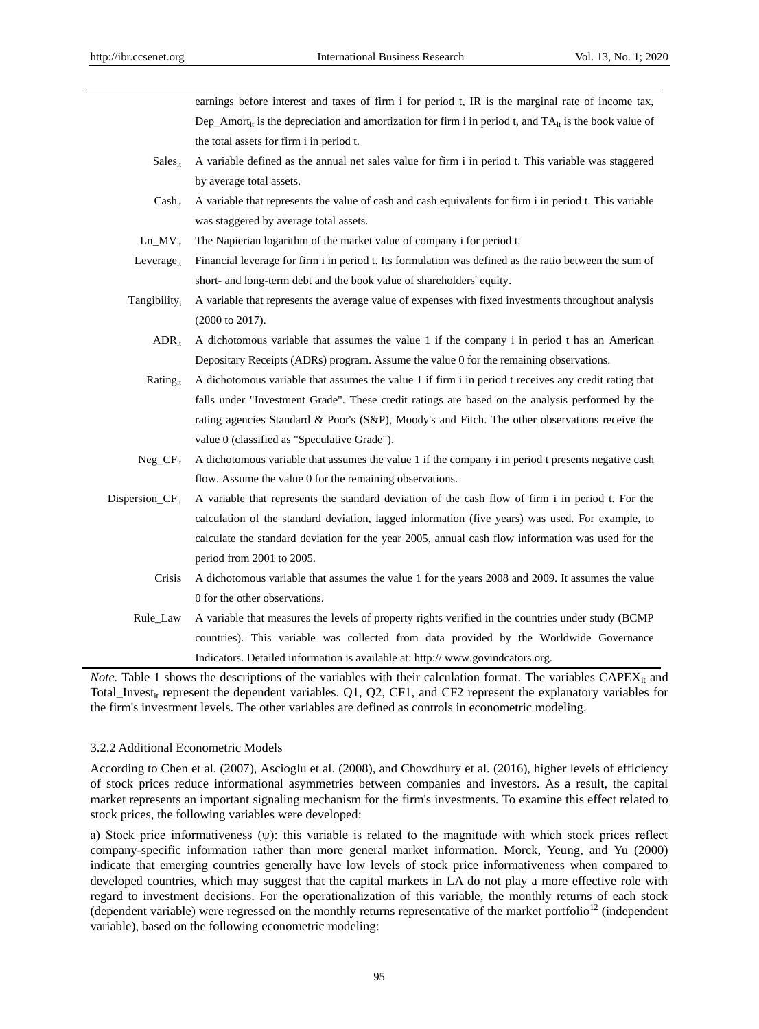earnings before interest and taxes of firm i for period t, IR is the marginal rate of income tax, Dep Amort<sub>it</sub> is the depreciation and amortization for firm i in period t, and TA<sub>it</sub> is the book value of the total assets for firm i in period t.

- Sales<sub>it</sub> A variable defined as the annual net sales value for firm i in period t. This variable was staggered by average total assets.
- $Cash_{it}$  A variable that represents the value of cash and cash equivalents for firm i in period t. This variable was staggered by average total assets.
- Ln  $MV_{it}$  The Napierian logarithm of the market value of company i for period t.
- Leverage<sub>it</sub> Financial leverage for firm i in period t. Its formulation was defined as the ratio between the sum of short- and long-term debt and the book value of shareholders' equity.
- Tangibility<sup>i</sup> A variable that represents the average value of expenses with fixed investments throughout analysis (2000 to 2017).
	- $ADR<sub>it</sub>$  A dichotomous variable that assumes the value 1 if the company i in period t has an American Depositary Receipts (ADRs) program. Assume the value 0 for the remaining observations.

Rating<sub>it</sub> A dichotomous variable that assumes the value 1 if firm i in period t receives any credit rating that falls under "Investment Grade". These credit ratings are based on the analysis performed by the rating agencies Standard & Poor's (S&P), Moody's and Fitch. The other observations receive the value 0 (classified as "Speculative Grade").

- Neg  $CF_{it}$  A dichotomous variable that assumes the value 1 if the company i in period t presents negative cash flow. Assume the value 0 for the remaining observations.
- Dispersion\_CF<sub>it</sub> A variable that represents the standard deviation of the cash flow of firm i in period t. For the calculation of the standard deviation, lagged information (five years) was used. For example, to calculate the standard deviation for the year 2005, annual cash flow information was used for the period from 2001 to 2005.
	- Crisis A dichotomous variable that assumes the value 1 for the years 2008 and 2009. It assumes the value 0 for the other observations.
	- Rule\_Law A variable that measures the levels of property rights verified in the countries under study (BCMP countries). This variable was collected from data provided by the Worldwide Governance Indicators. Detailed information is available at: http:// www.govindcators.org.

*Note.* Table 1 shows the descriptions of the variables with their calculation format. The variables  $CAPEX_{it}$  and Total\_Invest<sub>it</sub> represent the dependent variables. Q1, Q2, CF1, and CF2 represent the explanatory variables for the firm's investment levels. The other variables are defined as controls in econometric modeling.

# 3.2.2 Additional Econometric Models

According to Chen et al. (2007), Ascioglu et al. (2008), and Chowdhury et al. (2016), higher levels of efficiency of stock prices reduce informational asymmetries between companies and investors. As a result, the capital market represents an important signaling mechanism for the firm's investments. To examine this effect related to stock prices, the following variables were developed:

a) Stock price informativeness  $(\psi)$ : this variable is related to the magnitude with which stock prices reflect company-specific information rather than more general market information. Morck, Yeung, and Yu (2000) indicate that emerging countries generally have low levels of stock price informativeness when compared to developed countries, which may suggest that the capital markets in LA do not play a more effective role with regard to investment decisions. For the operationalization of this variable, the monthly returns of each stock (dependent variable) were regressed on the monthly returns representative of the market portfolio<sup>12</sup> (independent variable), based on the following econometric modeling: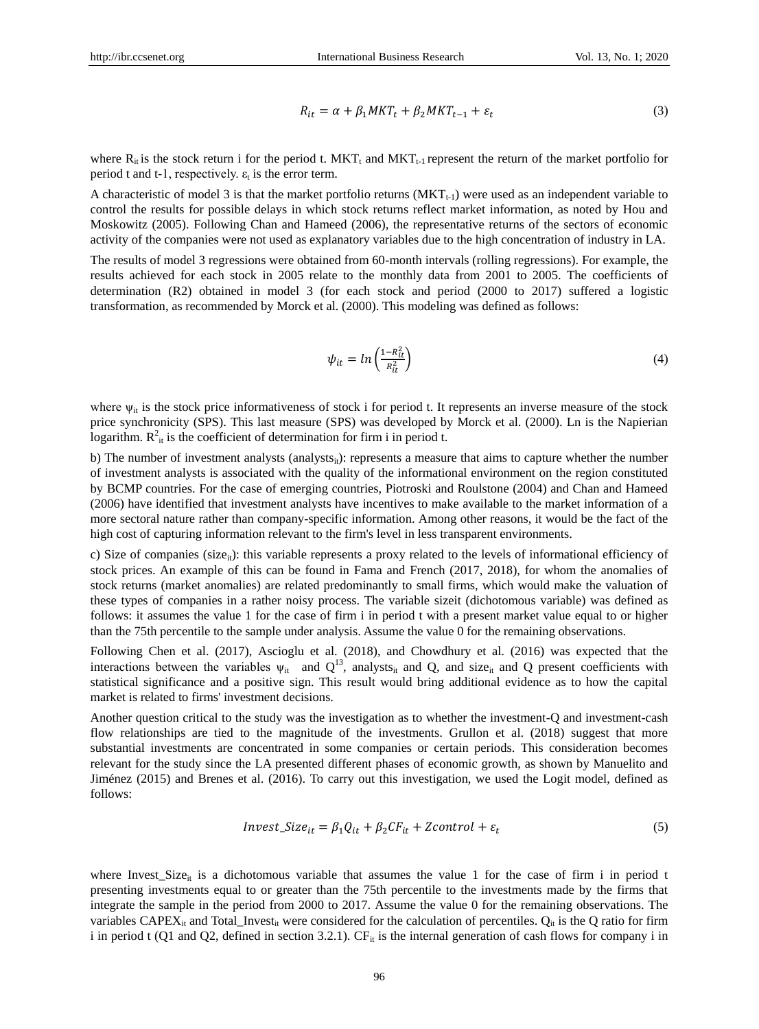$$
R_{it} = \alpha + \beta_1 MKT_t + \beta_2 MKT_{t-1} + \varepsilon_t
$$
\n(3)

where  $R_{it}$  is the stock return i for the period t.  $MKT_t$  and  $MKT_{t-1}$  represent the return of the market portfolio for period t and t-1, respectively.  $\varepsilon_t$  is the error term.

A characteristic of model 3 is that the market portfolio returns  $(MKT_{t-1})$  were used as an independent variable to control the results for possible delays in which stock returns reflect market information, as noted by Hou and Moskowitz (2005). Following Chan and Hameed (2006), the representative returns of the sectors of economic activity of the companies were not used as explanatory variables due to the high concentration of industry in LA.

The results of model 3 regressions were obtained from 60-month intervals (rolling regressions). For example, the results achieved for each stock in 2005 relate to the monthly data from 2001 to 2005. The coefficients of determination (R2) obtained in model 3 (for each stock and period (2000 to 2017) suffered a logistic transformation, as recommended by Morck et al. (2000). This modeling was defined as follows:

$$
\psi_{it} = \ln \left( \frac{1 - R_{it}^2}{R_{it}^2} \right) \tag{4}
$$

where  $\psi_{it}$  is the stock price informativeness of stock i for period t. It represents an inverse measure of the stock price synchronicity (SPS). This last measure (SPS) was developed by Morck et al. (2000). Ln is the Napierian logarithm.  $R_{it}^2$  is the coefficient of determination for firm i in period t.

b) The number of investment analysts (analysts<sub>it</sub>): represents a measure that aims to capture whether the number of investment analysts is associated with the quality of the informational environment on the region constituted by BCMP countries. For the case of emerging countries, Piotroski and Roulstone (2004) and Chan and Hameed (2006) have identified that investment analysts have incentives to make available to the market information of a more sectoral nature rather than company-specific information. Among other reasons, it would be the fact of the high cost of capturing information relevant to the firm's level in less transparent environments.

c) Size of companies ( $size_{it}$ ): this variable represents a proxy related to the levels of informational efficiency of stock prices. An example of this can be found in Fama and French (2017, 2018), for whom the anomalies of stock returns (market anomalies) are related predominantly to small firms, which would make the valuation of these types of companies in a rather noisy process. The variable sizeit (dichotomous variable) was defined as follows: it assumes the value 1 for the case of firm i in period t with a present market value equal to or higher than the 75th percentile to the sample under analysis. Assume the value 0 for the remaining observations.

Following Chen et al. (2017), Ascioglu et al. (2018), and Chowdhury et al. (2016) was expected that the interactions between the variables  $\psi_{it}$  and  $Q^{13}$ , analysts<sub>it</sub> and Q, and size<sub>it</sub> and Q present coefficients with statistical significance and a positive sign. This result would bring additional evidence as to how the capital market is related to firms' investment decisions.

Another question critical to the study was the investigation as to whether the investment-Q and investment-cash flow relationships are tied to the magnitude of the investments. Grullon et al. (2018) suggest that more substantial investments are concentrated in some companies or certain periods. This consideration becomes relevant for the study since the LA presented different phases of economic growth, as shown by Manuelito and Jiménez (2015) and Brenes et al. (2016). To carry out this investigation, we used the Logit model, defined as follows:

$$
Invest\_Size_{it} = \beta_1 Q_{it} + \beta_2 CF_{it} + Zcontrol + \varepsilon_t \tag{5}
$$

where Invest\_Size<sub>it</sub> is a dichotomous variable that assumes the value 1 for the case of firm i in period t presenting investments equal to or greater than the 75th percentile to the investments made by the firms that integrate the sample in the period from 2000 to 2017. Assume the value 0 for the remaining observations. The variables CAPEX<sub>it</sub> and Total\_Invest<sub>it</sub> were considered for the calculation of percentiles.  $Q_{it}$  is the  $Q$  ratio for firm i in period t (Q1 and Q2, defined in section 3.2.1).  $CF_{it}$  is the internal generation of cash flows for company i in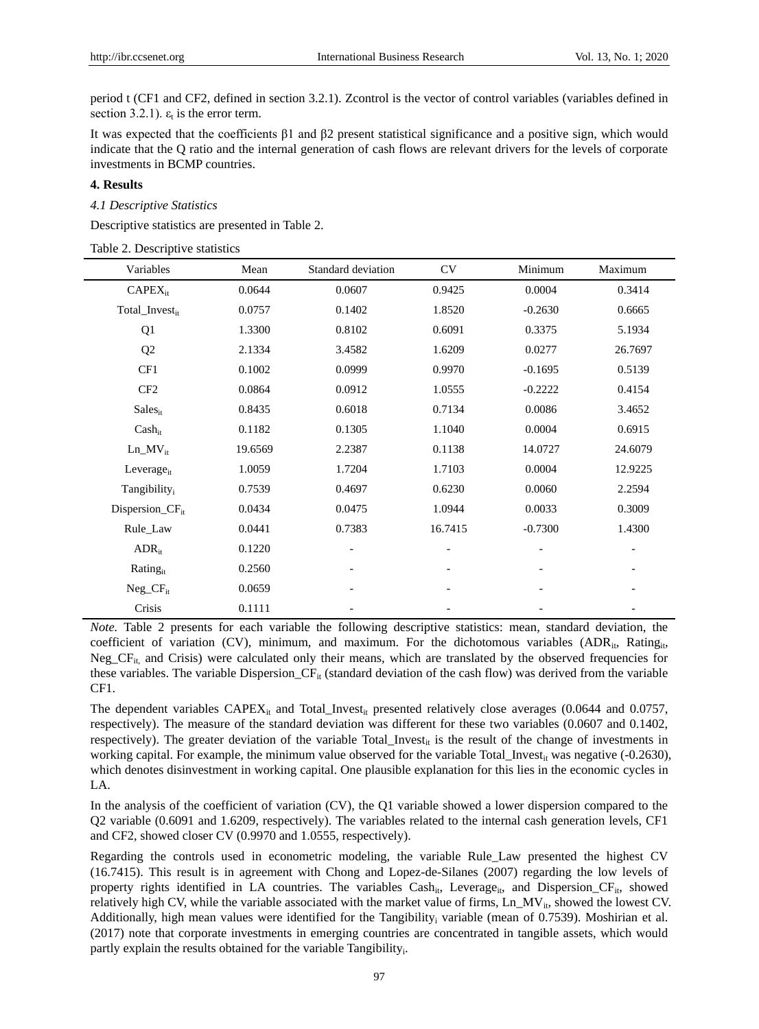period t (CF1 and CF2, defined in section 3.2.1). Zcontrol is the vector of control variables (variables defined in section 3.2.1).  $\varepsilon_t$  is the error term.

It was expected that the coefficients β1 and β2 present statistical significance and a positive sign, which would indicate that the Q ratio and the internal generation of cash flows are relevant drivers for the levels of corporate investments in BCMP countries.

# **4. Results**

#### *4.1 Descriptive Statistics*

Descriptive statistics are presented in Table 2.

| Variables                   | Mean    | Standard deviation       | <b>CV</b> | Minimum   | Maximum                  |
|-----------------------------|---------|--------------------------|-----------|-----------|--------------------------|
| $CAPEX_{it}$                | 0.0644  | 0.0607                   | 0.9425    | 0.0004    | 0.3414                   |
| Total_Investit              | 0.0757  | 0.1402                   | 1.8520    | $-0.2630$ | 0.6665                   |
| Q1                          | 1.3300  | 0.8102                   | 0.6091    | 0.3375    | 5.1934                   |
| Q2                          | 2.1334  | 3.4582                   | 1.6209    | 0.0277    | 26.7697                  |
| CF1                         | 0.1002  | 0.0999                   | 0.9970    | $-0.1695$ | 0.5139                   |
| CF <sub>2</sub>             | 0.0864  | 0.0912                   | 1.0555    | $-0.2222$ | 0.4154                   |
| <b>Sales</b> <sub>it</sub>  | 0.8435  | 0.6018                   | 0.7134    | 0.0086    | 3.4652                   |
| $Cash_{it}$                 | 0.1182  | 0.1305                   | 1.1040    | 0.0004    | 0.6915                   |
| $Ln_MV_{it}$                | 19.6569 | 2.2387                   | 0.1138    | 14.0727   | 24.6079                  |
| Leverage $_{it}$            | 1.0059  | 1.7204                   | 1.7103    | 0.0004    | 12.9225                  |
| Tangibility <sub>i</sub>    | 0.7539  | 0.4697                   | 0.6230    | 0.0060    | 2.2594                   |
| Dispersion_CF <sub>it</sub> | 0.0434  | 0.0475                   | 1.0944    | 0.0033    | 0.3009                   |
| Rule_Law                    | 0.0441  | 0.7383                   | 16.7415   | $-0.7300$ | 1.4300                   |
| $ADR_{it}$                  | 0.1220  |                          |           |           |                          |
| Rating <sub>it</sub>        | 0.2560  | $\overline{\phantom{0}}$ |           |           | -                        |
| $Neg_CF_{it}$               | 0.0659  | $\overline{\phantom{0}}$ |           |           | -                        |
| Crisis                      | 0.1111  | $\overline{\phantom{0}}$ |           |           | $\overline{\phantom{a}}$ |

*Note.* Table 2 presents for each variable the following descriptive statistics: mean, standard deviation, the coefficient of variation (CV), minimum, and maximum. For the dichotomous variables  $(ADR_{it}, Rating_{it}, R)$  $Neg_CF_{it}$  and Crisis) were calculated only their means, which are translated by the observed frequencies for these variables. The variable Dispersion\_ $CF_{it}$  (standard deviation of the cash flow) was derived from the variable CF1.

The dependent variables  $CAPEX_{it}$  and Total\_Invest<sub>it</sub> presented relatively close averages (0.0644 and 0.0757, respectively). The measure of the standard deviation was different for these two variables (0.0607 and 0.1402, respectively). The greater deviation of the variable Total\_Invest<sub>it</sub> is the result of the change of investments in working capital. For example, the minimum value observed for the variable Total\_Invest<sub>it</sub> was negative (-0.2630), which denotes disinvestment in working capital. One plausible explanation for this lies in the economic cycles in LA.

In the analysis of the coefficient of variation (CV), the Q1 variable showed a lower dispersion compared to the Q2 variable (0.6091 and 1.6209, respectively). The variables related to the internal cash generation levels, CF1 and CF2, showed closer CV (0.9970 and 1.0555, respectively).

Regarding the controls used in econometric modeling, the variable Rule\_Law presented the highest CV (16.7415). This result is in agreement with Chong and Lopez-de-Silanes (2007) regarding the low levels of property rights identified in LA countries. The variables  $Cash_{it}$ , Leverage<sub>it</sub>, and Dispersion<sub>\_CF<sub>it</sub>, showed</sub> relatively high CV, while the variable associated with the market value of firms, Ln\_MV<sub>it</sub>, showed the lowest CV. Additionally, high mean values were identified for the Tangibility<sup>i</sup> variable (mean of 0.7539). Moshirian et al. (2017) note that corporate investments in emerging countries are concentrated in tangible assets, which would partly explain the results obtained for the variable Tangibility<sub>i</sub>.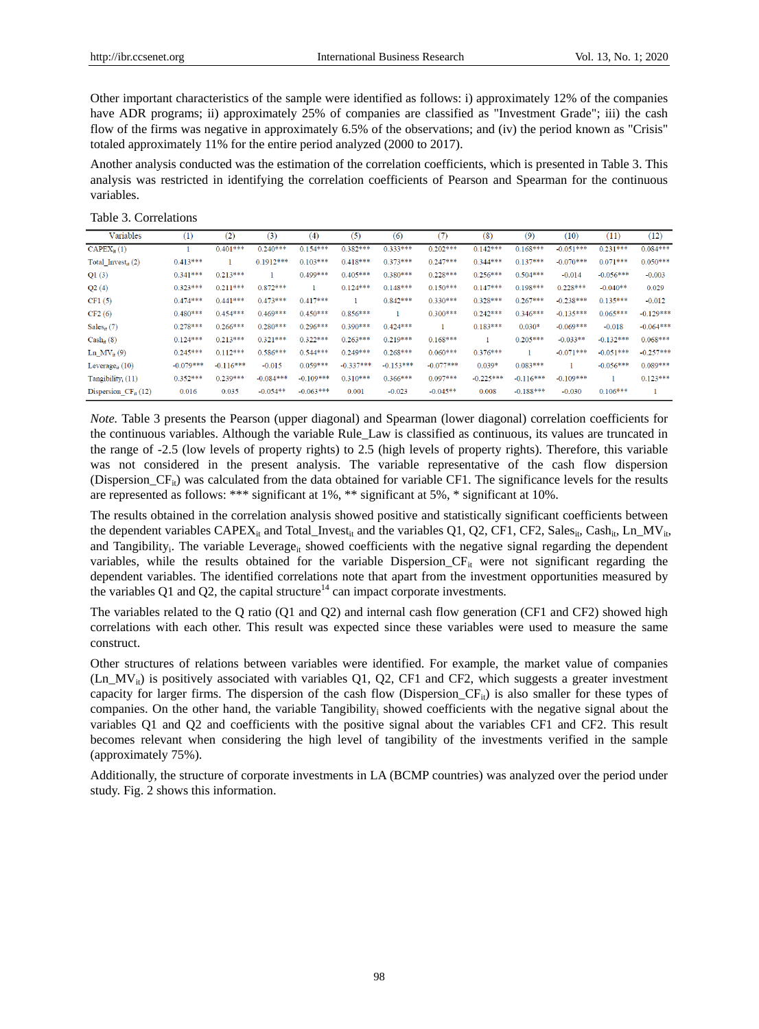Other important characteristics of the sample were identified as follows: i) approximately 12% of the companies have ADR programs; ii) approximately 25% of companies are classified as "Investment Grade"; iii) the cash flow of the firms was negative in approximately 6.5% of the observations; and (iv) the period known as "Crisis" totaled approximately 11% for the entire period analyzed (2000 to 2017).

Another analysis conducted was the estimation of the correlation coefficients, which is presented in Table 3. This analysis was restricted in identifying the correlation coefficients of Pearson and Spearman for the continuous variables.

Table 3. Correlations

| Variables                        | (1)         | (2)         | (3)         | (4)         | (5)         | (6)         | (7)         | (8)         | (9)         | (10)        | (11)        | (12)        |
|----------------------------------|-------------|-------------|-------------|-------------|-------------|-------------|-------------|-------------|-------------|-------------|-------------|-------------|
| $CAPEX_{it}(1)$                  |             | $0.401***$  | $0.240***$  | $0.154***$  | $0.382***$  | $0.333***$  | $0.202***$  | $0.142***$  | $0.168***$  | $-0.051***$ | $0.231***$  | $0.084***$  |
| Total Invest <sub>it</sub> $(2)$ | $0.413***$  |             | $0.1912***$ | $0.103***$  | $0.418***$  | $0.373***$  | $0.247***$  | $0.344***$  | $0.137***$  | $-0.070***$ | $0.071***$  | $0.050***$  |
| Q1(3)                            | $0.341***$  | $0.213***$  |             | $0.499***$  | $0.405***$  | $0.380***$  | $0.228***$  | $0.256***$  | $0.504***$  | $-0.014$    | $-0.056***$ | $-0.003$    |
| Q2(4)                            | $0.323***$  | $0.211***$  | $0.872***$  |             | $0.124***$  | $0.148***$  | $0.150***$  | $0.147***$  | $0.198***$  | $0.228***$  | $-0.040**$  | 0.029       |
| CF1(5)                           | $0.474***$  | $0.441***$  | $0.473***$  | $0.417***$  |             | $0.842***$  | $0.330***$  | $0.328***$  | $0.267***$  | $-0.238***$ | $0.135***$  | $-0.012$    |
| CF2(6)                           | $0.480***$  | $0.454***$  | $0.469***$  | $0.450***$  | $0.856***$  |             | $0.300***$  | $0.242***$  | $0.346***$  | $-0.135***$ | $0.065***$  | $-0.129***$ |
| Sales $_{it}$ (7)                | $0.278***$  | $0.266***$  | $0.280***$  | $0.296***$  | $0.390***$  | $0.424***$  |             | $0.183***$  | $0.030*$    | $-0.069***$ | $-0.018$    | $-0.064***$ |
| $Cash_{it}(8)$                   | $0.124***$  | $0.213***$  | $0.321***$  | $0.322***$  | $0.263***$  | $0.219***$  | $0.168***$  |             | $0.205***$  | $-0.033**$  | $-0.132***$ | $0.068***$  |
| Ln $MV_{it}(9)$                  | $0.245***$  | $0.112***$  | $0.586***$  | $0.544***$  | $0.249***$  | $0.268***$  | $0.060***$  | $0.376***$  |             | $-0.071***$ | $-0.051***$ | $-0.257***$ |
| Leverage $_{it}$ (10)            | $-0.079***$ | $-0.116***$ | $-0.015$    | $0.059***$  | $-0.337***$ | $-0.153***$ | $-0.077***$ | $0.039*$    | $0.083***$  |             | $-0.056***$ | $0.089***$  |
| Tangibility <sub>i</sub> (11)    | $0.352***$  | $0.239***$  | $-0.084***$ | $-0.109***$ | $0.310***$  | $0.366***$  | $0.097***$  | $-0.225***$ | $-0.116***$ | $-0.109***$ |             | $0.123***$  |
| Dispersion $CF_{it}(12)$         | 0.016       | 0.035       | $-0.054**$  | $-0.063***$ | 0.001       | $-0.023$    | $-0.045**$  | 0.008       | $-0.188***$ | $-0.030$    | $0.106***$  |             |

*Note.* Table 3 presents the Pearson (upper diagonal) and Spearman (lower diagonal) correlation coefficients for the continuous variables. Although the variable Rule\_Law is classified as continuous, its values are truncated in the range of -2.5 (low levels of property rights) to 2.5 (high levels of property rights). Therefore, this variable was not considered in the present analysis. The variable representative of the cash flow dispersion (Dispersion  $CF_{ii}$ ) was calculated from the data obtained for variable CF1. The significance levels for the results are represented as follows: \*\*\* significant at 1%, \*\* significant at 5%, \* significant at 10%.

The results obtained in the correlation analysis showed positive and statistically significant coefficients between the dependent variables  $CAPEX_{it}$  and Total\_Invest<sub>it</sub> and the variables Q1, Q2, CF1, CF2, Sales<sub>it</sub>, Cash<sub>it</sub>, Ln\_MV<sub>it</sub>, and Tangibility<sub>i</sub>. The variable Leverage<sub>it</sub> showed coefficients with the negative signal regarding the dependent variables, while the results obtained for the variable Dispersion $C\mathbf{F}_{it}$  were not significant regarding the dependent variables. The identified correlations note that apart from the investment opportunities measured by the variables Q1 and Q2, the capital structure $14$  can impact corporate investments.

The variables related to the Q ratio (Q1 and Q2) and internal cash flow generation (CF1 and CF2) showed high correlations with each other. This result was expected since these variables were used to measure the same construct.

Other structures of relations between variables were identified. For example, the market value of companies (Ln MV<sub>it</sub>) is positively associated with variables Q1, Q2, CF1 and CF2, which suggests a greater investment capacity for larger firms. The dispersion of the cash flow (Dispersion\_ $CF_{ii}$ ) is also smaller for these types of companies. On the other hand, the variable Tangibility<sup>i</sup> showed coefficients with the negative signal about the variables Q1 and Q2 and coefficients with the positive signal about the variables CF1 and CF2. This result becomes relevant when considering the high level of tangibility of the investments verified in the sample (approximately 75%).

Additionally, the structure of corporate investments in LA (BCMP countries) was analyzed over the period under study. Fig. 2 shows this information.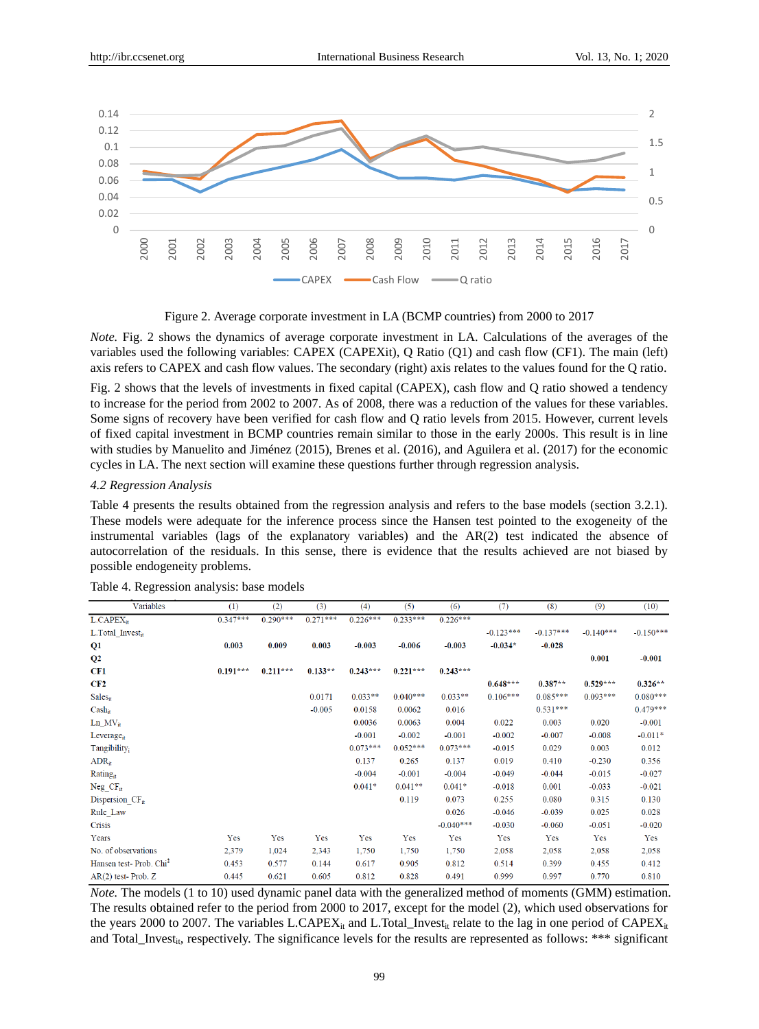

Figure 2. Average corporate investment in LA (BCMP countries) from 2000 to 2017

*Note.* Fig. 2 shows the dynamics of average corporate investment in LA. Calculations of the averages of the variables used the following variables: CAPEX (CAPEXit), Q Ratio (Q1) and cash flow (CF1). The main (left) axis refers to CAPEX and cash flow values. The secondary (right) axis relates to the values found for the Q ratio.

Fig. 2 shows that the levels of investments in fixed capital (CAPEX), cash flow and Q ratio showed a tendency to increase for the period from 2002 to 2007. As of 2008, there was a reduction of the values for these variables. Some signs of recovery have been verified for cash flow and Q ratio levels from 2015. However, current levels of fixed capital investment in BCMP countries remain similar to those in the early 2000s. This result is in line with studies by Manuelito and Jim énez (2015), Brenes et al. (2016), and Aguilera et al. (2017) for the economic cycles in LA. The next section will examine these questions further through regression analysis.

#### *4.2 Regression Analysis*

Table 4 presents the results obtained from the regression analysis and refers to the base models (section 3.2.1). These models were adequate for the inference process since the Hansen test pointed to the exogeneity of the instrumental variables (lags of the explanatory variables) and the AR(2) test indicated the absence of autocorrelation of the residuals. In this sense, there is evidence that the results achieved are not biased by possible endogeneity problems.

| Variables                          | $\left(1\right)$ | (2)        | (3)        | (4)        | (5)        | (6)         | (7)         | (8)         | (9)         | (10)        |
|------------------------------------|------------------|------------|------------|------------|------------|-------------|-------------|-------------|-------------|-------------|
| $L.CAPEX_{it}$                     | $0.347***$       | $0.290***$ | $0.271***$ | $0.226***$ | $0.233***$ | $0.226***$  |             |             |             |             |
| L.Total Invest <sub>it</sub>       |                  |            |            |            |            |             | $-0.123***$ | $-0.137***$ | $-0.140***$ | $-0.150***$ |
| Q1                                 | 0.003            | 0.009      | 0.003      | $-0.003$   | $-0.006$   | $-0.003$    | $-0.034*$   | $-0.028$    |             |             |
| $\bf Q2$                           |                  |            |            |            |            |             |             |             | 0.001       | $-0.001$    |
| CF1                                | $0.191***$       | $0.211***$ | $0.133**$  | $0.243***$ | $0.221***$ | $0.243***$  |             |             |             |             |
| CF2                                |                  |            |            |            |            |             | $0.648***$  | $0.387**$   | $0.529***$  | $0.326**$   |
| <b>Sales</b> <sub>it</sub>         |                  |            | 0.0171     | $0.033**$  | $0.040***$ | $0.033**$   | $0.106***$  | $0.085***$  | $0.093***$  | $0.080***$  |
| $Cash_{it}$                        |                  |            | $-0.005$   | 0.0158     | 0.0062     | 0.016       |             | $0.531***$  |             | $0.479***$  |
| $Ln_M/V_{it}$                      |                  |            |            | 0.0036     | 0.0063     | 0.004       | 0.022       | 0.003       | 0.020       | $-0.001$    |
| Leverage <sub>it</sub>             |                  |            |            | $-0.001$   | $-0.002$   | $-0.001$    | $-0.002$    | $-0.007$    | $-0.008$    | $-0.011*$   |
| Tangibility <sub>i</sub>           |                  |            |            | $0.073***$ | $0.052***$ | $0.073***$  | $-0.015$    | 0.029       | 0.003       | 0.012       |
| $\rm{ADR}_{it}$                    |                  |            |            | 0.137      | 0.265      | 0.137       | 0.019       | 0.410       | $-0.230$    | 0.356       |
| Rating <sub>it</sub>               |                  |            |            | $-0.004$   | $-0.001$   | $-0.004$    | $-0.049$    | $-0.044$    | $-0.015$    | $-0.027$    |
| $Neg_CF_{it}$                      |                  |            |            | $0.041*$   | $0.041**$  | $0.041*$    | $-0.018$    | 0.001       | $-0.033$    | $-0.021$    |
| Dispersion $CF_{it}$               |                  |            |            |            | 0.119      | 0.073       | 0.255       | 0.080       | 0.315       | 0.130       |
| Rule Law                           |                  |            |            |            |            | 0.026       | $-0.046$    | $-0.039$    | 0.025       | 0.028       |
| <b>Crisis</b>                      |                  |            |            |            |            | $-0.040***$ | $-0.030$    | $-0.060$    | $-0.051$    | $-0.020$    |
| Years                              | Yes              | Yes        | Yes        | Yes        | Yes        | Yes         | Yes         | Yes         | Yes         | Yes         |
| No. of observations                | 2,379            | 1,024      | 2,343      | 1,750      | 1,750      | 1,750       | 2,058       | 2,058       | 2,058       | 2,058       |
| Hansen test-Prob. Chi <sup>2</sup> | 0.453            | 0.577      | 0.144      | 0.617      | 0.905      | 0.812       | 0.514       | 0.399       | 0.455       | 0.412       |
| AR(2) test-Prob. Z                 | 0.445            | 0.621      | 0.605      | 0.812      | 0.828      | 0.491       | 0.999       | 0.997       | 0.770       | 0.810       |

Table 4. Regression analysis: base models

*Note.* The models (1 to 10) used dynamic panel data with the generalized method of moments (GMM) estimation. The results obtained refer to the period from 2000 to 2017, except for the model (2), which used observations for the years 2000 to 2007. The variables L.CAPEX<sub>it</sub> and L.Total\_Invest<sub>it</sub> relate to the lag in one period of CAPEX<sub>it</sub> and Total\_Invest<sub>it</sub>, respectively. The significance levels for the results are represented as follows: \*\*\* significant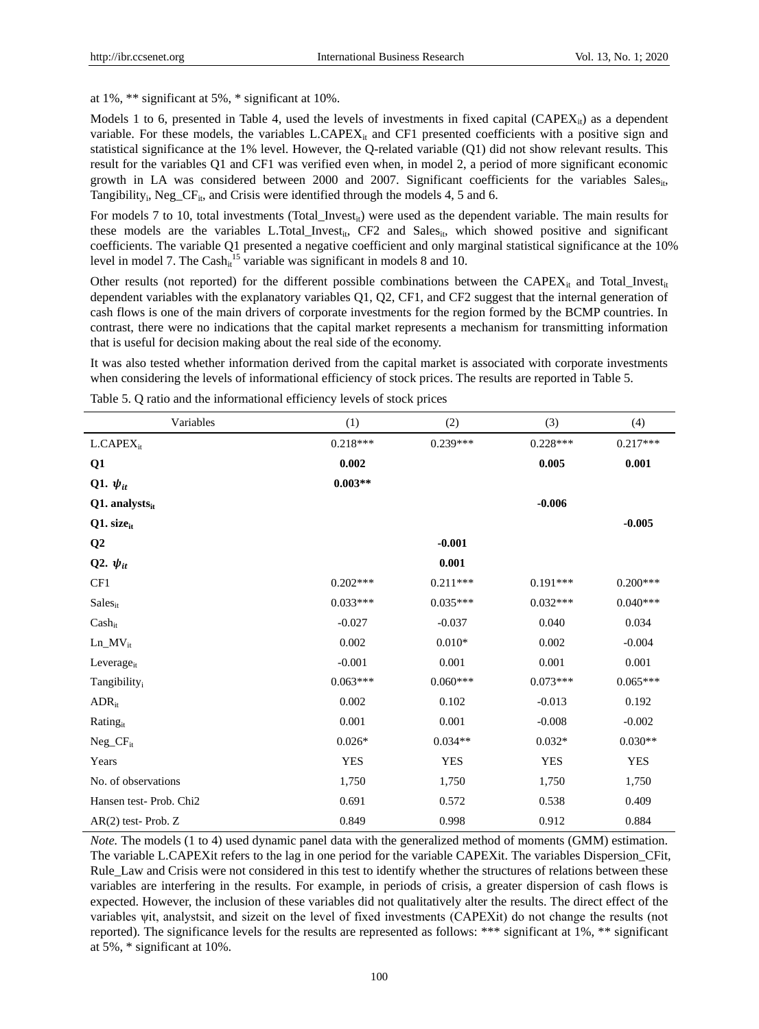at 1%, \*\* significant at 5%, \* significant at 10%.

Models 1 to 6, presented in Table 4, used the levels of investments in fixed capital (CAPE $X_{it}$ ) as a dependent variable. For these models, the variables  $L.CAPEX_{it}$  and CF1 presented coefficients with a positive sign and statistical significance at the 1% level. However, the Q-related variable (Q1) did not show relevant results. This result for the variables Q1 and CF1 was verified even when, in model 2, a period of more significant economic growth in LA was considered between 2000 and 2007. Significant coefficients for the variables Sales<sub>it</sub>, Tangibility<sub>i</sub>, Neg<sub>-CF<sub>it</sub>, and Crisis were identified through the models 4, 5 and 6.</sub>

For models 7 to 10, total investments (Total\_Invest<sub>it</sub>) were used as the dependent variable. The main results for these models are the variables L.Total\_Invest<sub>it</sub>, CF2 and Sales<sub>it</sub>, which showed positive and significant coefficients. The variable Q1 presented a negative coefficient and only marginal statistical significance at the 10% level in model 7. The Cash<sub>it</sub><sup>15</sup> variable was significant in models 8 and 10.

Other results (not reported) for the different possible combinations between the CAPE $X_{it}$  and Total\_Invest<sub>it</sub> dependent variables with the explanatory variables Q1, Q2, CF1, and CF2 suggest that the internal generation of cash flows is one of the main drivers of corporate investments for the region formed by the BCMP countries. In contrast, there were no indications that the capital market represents a mechanism for transmitting information that is useful for decision making about the real side of the economy.

It was also tested whether information derived from the capital market is associated with corporate investments when considering the levels of informational efficiency of stock prices. The results are reported in Table 5.

| Variables                    | (1)        | (2)        | (3)        | (4)        |
|------------------------------|------------|------------|------------|------------|
| $L.CAPEX_{it}$               | $0.218***$ | $0.239***$ | $0.228***$ | $0.217***$ |
| Q1                           | 0.002      |            | 0.005      | 0.001      |
| Q1. $\psi_{it}$              | $0.003**$  |            |            |            |
| $Q1.$ analysts <sub>it</sub> |            |            | $-0.006$   |            |
| Q1. sizeit                   |            |            |            | $-0.005$   |
| Q2                           |            | $-0.001$   |            |            |
| Q2. $\psi_{it}$              |            | 0.001      |            |            |
| CF1                          | $0.202***$ | $0.211***$ | $0.191***$ | $0.200***$ |
| Sales <sub>it</sub>          | $0.033***$ | $0.035***$ | $0.032***$ | $0.040***$ |
| $Cash_{it}$                  | $-0.027$   | $-0.037$   | 0.040      | 0.034      |
| $Ln_MVV_{it}$                | 0.002      | $0.010*$   | 0.002      | $-0.004$   |
| Leverage <sub>it</sub>       | $-0.001$   | 0.001      | 0.001      | 0.001      |
| Tangibility <sub>i</sub>     | $0.063***$ | $0.060***$ | $0.073***$ | $0.065***$ |
| $ADR_{it}$                   | 0.002      | 0.102      | $-0.013$   | 0.192      |
| Ratingit                     | 0.001      | 0.001      | $-0.008$   | $-0.002$   |
| $Neg_CF_{it}$                | $0.026*$   | $0.034**$  | $0.032*$   | $0.030**$  |
| Years                        | <b>YES</b> | <b>YES</b> | <b>YES</b> | <b>YES</b> |
| No. of observations          | 1,750      | 1,750      | 1,750      | 1,750      |
| Hansen test-Prob. Chi2       | 0.691      | 0.572      | 0.538      | 0.409      |
| $AR(2)$ test-Prob. Z         | 0.849      | 0.998      | 0.912      | 0.884      |

Table 5. Q ratio and the informational efficiency levels of stock prices

*Note.* The models (1 to 4) used dynamic panel data with the generalized method of moments (GMM) estimation. The variable L.CAPEXit refers to the lag in one period for the variable CAPEXit. The variables Dispersion\_CFit, Rule Law and Crisis were not considered in this test to identify whether the structures of relations between these variables are interfering in the results. For example, in periods of crisis, a greater dispersion of cash flows is expected. However, the inclusion of these variables did not qualitatively alter the results. The direct effect of the variables ψit, analystsit, and sizeit on the level of fixed investments (CAPEXit) do not change the results (not reported). The significance levels for the results are represented as follows: \*\*\* significant at 1%, \*\* significant at 5%, \* significant at 10%.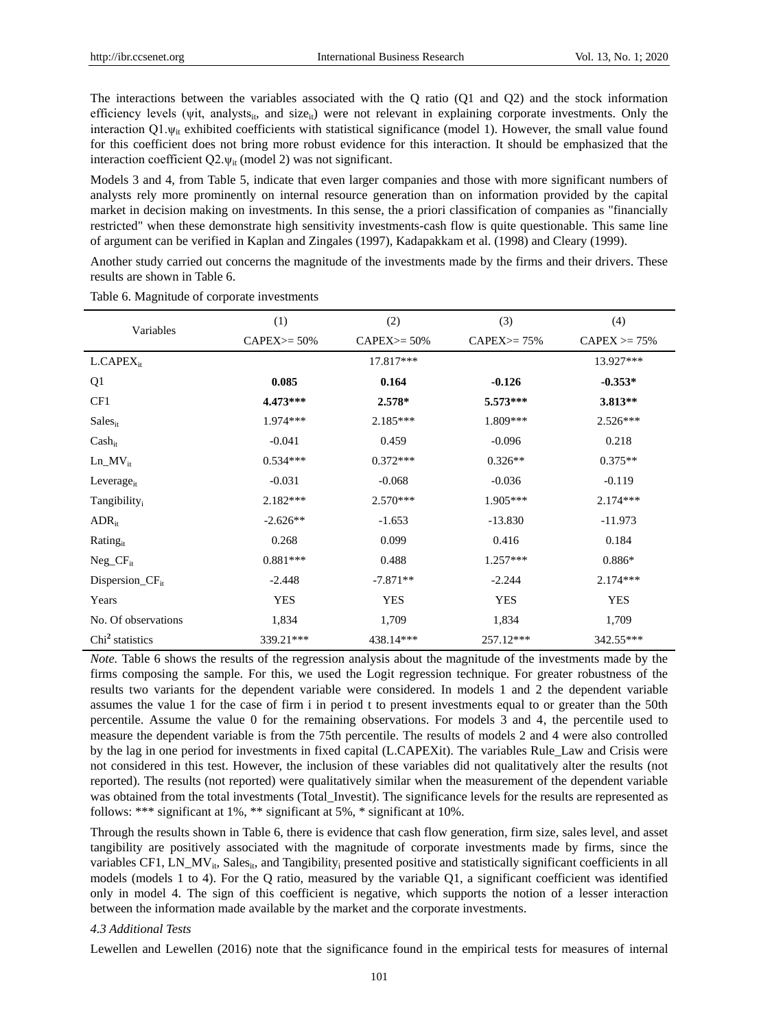The interactions between the variables associated with the Q ratio (Q1 and Q2) and the stock information efficiency levels (wit, analysts<sub>it</sub>, and size<sub>it</sub>) were not relevant in explaining corporate investments. Only the interaction Q1. $\psi_{ir}$  exhibited coefficients with statistical significance (model 1). However, the small value found for this coefficient does not bring more robust evidence for this interaction. It should be emphasized that the interaction coefficient  $Q2.\psi_{it}$  (model 2) was not significant.

Models 3 and 4, from Table 5, indicate that even larger companies and those with more significant numbers of analysts rely more prominently on internal resource generation than on information provided by the capital market in decision making on investments. In this sense, the a priori classification of companies as "financially restricted" when these demonstrate high sensitivity investments-cash flow is quite questionable. This same line of argument can be verified in Kaplan and Zingales (1997), Kadapakkam et al. (1998) and Cleary (1999).

Another study carried out concerns the magnitude of the investments made by the firms and their drivers. These results are shown in Table 6.

| Variables                   | (1)            | (2)                   | (3)              | (4)              |
|-----------------------------|----------------|-----------------------|------------------|------------------|
|                             | $CAPEX = 50\%$ | $CAPEX = 50\%$        | $CAPEX \ge 75\%$ | $CAPEX \ge 75\%$ |
| $L.CAPEX_{it}$              |                | 17.817***             |                  | 13.927***        |
| Q1                          | 0.085          | 0.164                 | $-0.126$         | $-0.353*$        |
| CF1                         | $4.473***$     | $2.578*$              | $5.573***$       | $3.813**$        |
| <b>Sales</b> <sub>it</sub>  | $1.974***$     | $2.185***$            | 1.809***         | $2.526***$       |
| $\text{Cash}_{it}$          | $-0.041$       | 0.459                 | $-0.096$         | 0.218            |
| $Ln_MV_{it}$                | $0.534***$     | $0.372***$            | $0.326**$        | $0.375**$        |
| Leverage $_{it}$            | $-0.031$       | $-0.068$              | $-0.036$         | $-0.119$         |
| Tangibility <sub>i</sub>    | $2.182***$     | $2.570***$            | $1.905***$       | $2.174***$       |
| $ADR_{it}$                  | $-2.626**$     | $-1.653$<br>$-13.830$ |                  | $-11.973$        |
| Ratingit                    | 0.268          | 0.099                 | 0.416            | 0.184            |
| $Neg_CF_{it}$               | $0.881***$     | 0.488                 | $1.257***$       | $0.886*$         |
| $Disperson_CF_{it}$         | $-2.448$       | $-7.871**$            | $-2.244$         | 2.174***         |
| Years                       | <b>YES</b>     | <b>YES</b>            | <b>YES</b>       | <b>YES</b>       |
| No. Of observations         | 1,834          | 1,709                 | 1,834            | 1,709            |
| Chi <sup>2</sup> statistics | 339.21***      | 438.14***             | 257.12***        | 342.55***        |

Table 6. Magnitude of corporate investments

*Note.* Table 6 shows the results of the regression analysis about the magnitude of the investments made by the firms composing the sample. For this, we used the Logit regression technique. For greater robustness of the results two variants for the dependent variable were considered. In models 1 and 2 the dependent variable assumes the value 1 for the case of firm i in period t to present investments equal to or greater than the 50th percentile. Assume the value 0 for the remaining observations. For models 3 and 4, the percentile used to measure the dependent variable is from the 75th percentile. The results of models 2 and 4 were also controlled by the lag in one period for investments in fixed capital (L.CAPEXit). The variables Rule\_Law and Crisis were not considered in this test. However, the inclusion of these variables did not qualitatively alter the results (not reported). The results (not reported) were qualitatively similar when the measurement of the dependent variable was obtained from the total investments (Total\_Investit). The significance levels for the results are represented as follows: \*\*\* significant at 1%, \*\* significant at 5%, \* significant at 10%.

Through the results shown in Table 6, there is evidence that cash flow generation, firm size, sales level, and asset tangibility are positively associated with the magnitude of corporate investments made by firms, since the variables CF1, LN\_MV<sub>it</sub>, Sales<sub>it</sub>, and Tangibility<sub>i</sub> presented positive and statistically significant coefficients in all models (models 1 to 4). For the Q ratio, measured by the variable Q1, a significant coefficient was identified only in model 4. The sign of this coefficient is negative, which supports the notion of a lesser interaction between the information made available by the market and the corporate investments.

# *4.3 Additional Tests*

Lewellen and Lewellen (2016) note that the significance found in the empirical tests for measures of internal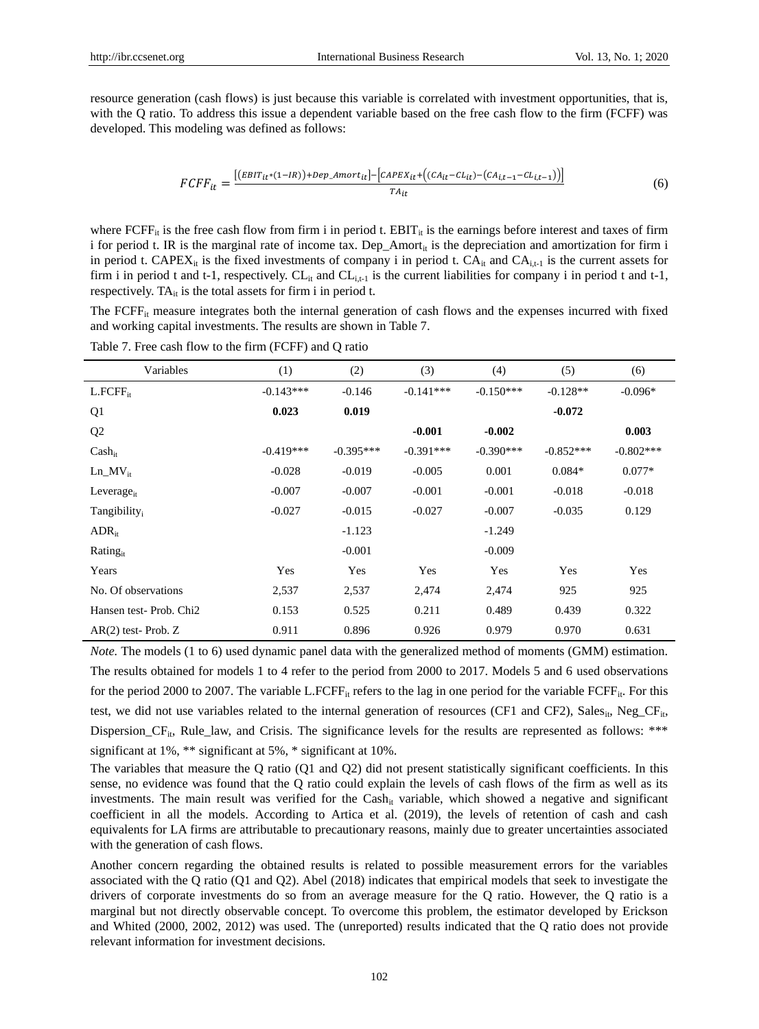resource generation (cash flows) is just because this variable is correlated with investment opportunities, that is, with the Q ratio. To address this issue a dependent variable based on the free cash flow to the firm (FCFF) was developed. This modeling was defined as follows:

$$
FCFF_{it} = \frac{[(EBIT_{it}*(1-IR)) + Dep\_Amort_{it}] - [CAPEX_{it} + ((CA_{it} - CL_{it}) - (CA_{i,t-1} - CL_{i,t-1}))]}{TA_{it}}
$$
(6)

where FCFF<sub>it</sub> is the free cash flow from firm i in period t. EBIT<sub>it</sub> is the earnings before interest and taxes of firm i for period t. IR is the marginal rate of income tax. Dep\_Amort<sub>it</sub> is the depreciation and amortization for firm i in period t. CAPEX<sub>it</sub> is the fixed investments of company i in period t.  $CA_{i}$  and  $CA_{i,t-1}$  is the current assets for firm i in period t and t-1, respectively.  $CL_{it}$  and  $CL_{it-1}$  is the current liabilities for company i in period t and t-1, respectively. T $A_{it}$  is the total assets for firm i in period t.

The FCFFit measure integrates both the internal generation of cash flows and the expenses incurred with fixed and working capital investments. The results are shown in Table 7.

| Variables                          | (1)         | (2)         | (3)         | (4)         | (5)         | (6)         |
|------------------------------------|-------------|-------------|-------------|-------------|-------------|-------------|
| $L.FCFF_{it}$                      | $-0.143***$ | $-0.146$    | $-0.141***$ | $-0.150***$ | $-0.128**$  | $-0.096*$   |
| Q <sub>1</sub>                     | 0.023       | 0.019       |             |             | $-0.072$    |             |
| Q <sub>2</sub>                     |             |             | $-0.001$    | $-0.002$    |             | 0.003       |
| $Cash_{it}$                        | $-0.419***$ | $-0.395***$ | $-0.391***$ | $-0.390***$ | $-0.852***$ | $-0.802***$ |
| $Ln$ $MV_{it}$                     | $-0.028$    | $-0.019$    | $-0.005$    | 0.001       | $0.084*$    | $0.077*$    |
| Leverage <sub>it</sub>             | $-0.007$    | $-0.007$    | $-0.001$    | $-0.001$    | $-0.018$    | $-0.018$    |
| Tangibility <sub>i</sub>           | $-0.027$    | $-0.015$    | $-0.027$    | $-0.007$    | $-0.035$    | 0.129       |
| $ADR_{it}$                         |             | $-1.123$    |             | $-1.249$    |             |             |
| Rating <sub>it</sub>               |             | $-0.001$    |             | $-0.009$    |             |             |
| Years                              | Yes         | Yes         | Yes         | Yes         | Yes         | Yes         |
| No. Of observations                | 2,537       | 2,537       | 2,474       | 2,474       | 925         | 925         |
| Hansen test-Prob. Chi <sub>2</sub> | 0.153       | 0.525       | 0.211       | 0.489       | 0.439       | 0.322       |
| $AR(2)$ test-Prob. Z               | 0.911       | 0.896       | 0.926       | 0.979       | 0.970       | 0.631       |

Table 7. Free cash flow to the firm (FCFF) and Q ratio

*Note.* The models (1 to 6) used dynamic panel data with the generalized method of moments (GMM) estimation. The results obtained for models 1 to 4 refer to the period from 2000 to 2017. Models 5 and 6 used observations for the period 2000 to 2007. The variable L.FCFF<sub>it</sub> refers to the lag in one period for the variable FCFF<sub>it</sub>. For this test, we did not use variables related to the internal generation of resources (CF1 and CF2), Sales<sub>it</sub>, Neg<sub>ra</sub>CF<sub>it</sub>, Dispersion\_CF<sub>it</sub>, Rule\_law, and Crisis. The significance levels for the results are represented as follows: \*\*\* significant at 1%, \*\* significant at 5%, \* significant at 10%.

The variables that measure the Q ratio (Q1 and Q2) did not present statistically significant coefficients. In this sense, no evidence was found that the Q ratio could explain the levels of cash flows of the firm as well as its investments. The main result was verified for the Cash<sub>it</sub> variable, which showed a negative and significant coefficient in all the models. According to Artica et al. (2019), the levels of retention of cash and cash equivalents for LA firms are attributable to precautionary reasons, mainly due to greater uncertainties associated with the generation of cash flows.

Another concern regarding the obtained results is related to possible measurement errors for the variables associated with the Q ratio (Q1 and Q2). Abel (2018) indicates that empirical models that seek to investigate the drivers of corporate investments do so from an average measure for the Q ratio. However, the Q ratio is a marginal but not directly observable concept. To overcome this problem, the estimator developed by Erickson and Whited (2000, 2002, 2012) was used. The (unreported) results indicated that the Q ratio does not provide relevant information for investment decisions.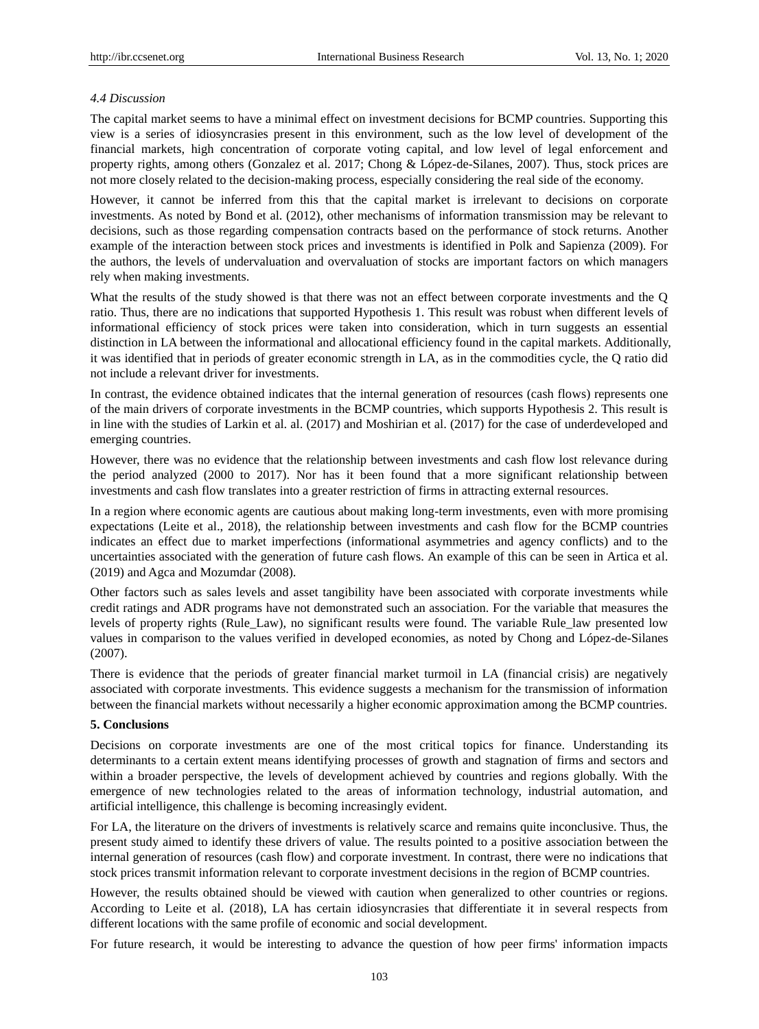## *4.4 Discussion*

The capital market seems to have a minimal effect on investment decisions for BCMP countries. Supporting this view is a series of idiosyncrasies present in this environment, such as the low level of development of the financial markets, high concentration of corporate voting capital, and low level of legal enforcement and property rights, among others (Gonzalez et al. 2017; Chong & López-de-Silanes, 2007). Thus, stock prices are not more closely related to the decision-making process, especially considering the real side of the economy.

However, it cannot be inferred from this that the capital market is irrelevant to decisions on corporate investments. As noted by Bond et al. (2012), other mechanisms of information transmission may be relevant to decisions, such as those regarding compensation contracts based on the performance of stock returns. Another example of the interaction between stock prices and investments is identified in Polk and Sapienza (2009). For the authors, the levels of undervaluation and overvaluation of stocks are important factors on which managers rely when making investments.

What the results of the study showed is that there was not an effect between corporate investments and the Q ratio. Thus, there are no indications that supported Hypothesis 1. This result was robust when different levels of informational efficiency of stock prices were taken into consideration, which in turn suggests an essential distinction in LA between the informational and allocational efficiency found in the capital markets. Additionally, it was identified that in periods of greater economic strength in LA, as in the commodities cycle, the Q ratio did not include a relevant driver for investments.

In contrast, the evidence obtained indicates that the internal generation of resources (cash flows) represents one of the main drivers of corporate investments in the BCMP countries, which supports Hypothesis 2. This result is in line with the studies of Larkin et al. al. (2017) and Moshirian et al. (2017) for the case of underdeveloped and emerging countries.

However, there was no evidence that the relationship between investments and cash flow lost relevance during the period analyzed (2000 to 2017). Nor has it been found that a more significant relationship between investments and cash flow translates into a greater restriction of firms in attracting external resources.

In a region where economic agents are cautious about making long-term investments, even with more promising expectations (Leite et al., 2018), the relationship between investments and cash flow for the BCMP countries indicates an effect due to market imperfections (informational asymmetries and agency conflicts) and to the uncertainties associated with the generation of future cash flows. An example of this can be seen in Artica et al. (2019) and Agca and Mozumdar (2008).

Other factors such as sales levels and asset tangibility have been associated with corporate investments while credit ratings and ADR programs have not demonstrated such an association. For the variable that measures the levels of property rights (Rule\_Law), no significant results were found. The variable Rule\_law presented low values in comparison to the values verified in developed economies, as noted by Chong and López-de-Silanes (2007).

There is evidence that the periods of greater financial market turmoil in LA (financial crisis) are negatively associated with corporate investments. This evidence suggests a mechanism for the transmission of information between the financial markets without necessarily a higher economic approximation among the BCMP countries.

# **5. Conclusions**

Decisions on corporate investments are one of the most critical topics for finance. Understanding its determinants to a certain extent means identifying processes of growth and stagnation of firms and sectors and within a broader perspective, the levels of development achieved by countries and regions globally. With the emergence of new technologies related to the areas of information technology, industrial automation, and artificial intelligence, this challenge is becoming increasingly evident.

For LA, the literature on the drivers of investments is relatively scarce and remains quite inconclusive. Thus, the present study aimed to identify these drivers of value. The results pointed to a positive association between the internal generation of resources (cash flow) and corporate investment. In contrast, there were no indications that stock prices transmit information relevant to corporate investment decisions in the region of BCMP countries.

However, the results obtained should be viewed with caution when generalized to other countries or regions. According to Leite et al. (2018), LA has certain idiosyncrasies that differentiate it in several respects from different locations with the same profile of economic and social development.

For future research, it would be interesting to advance the question of how peer firms' information impacts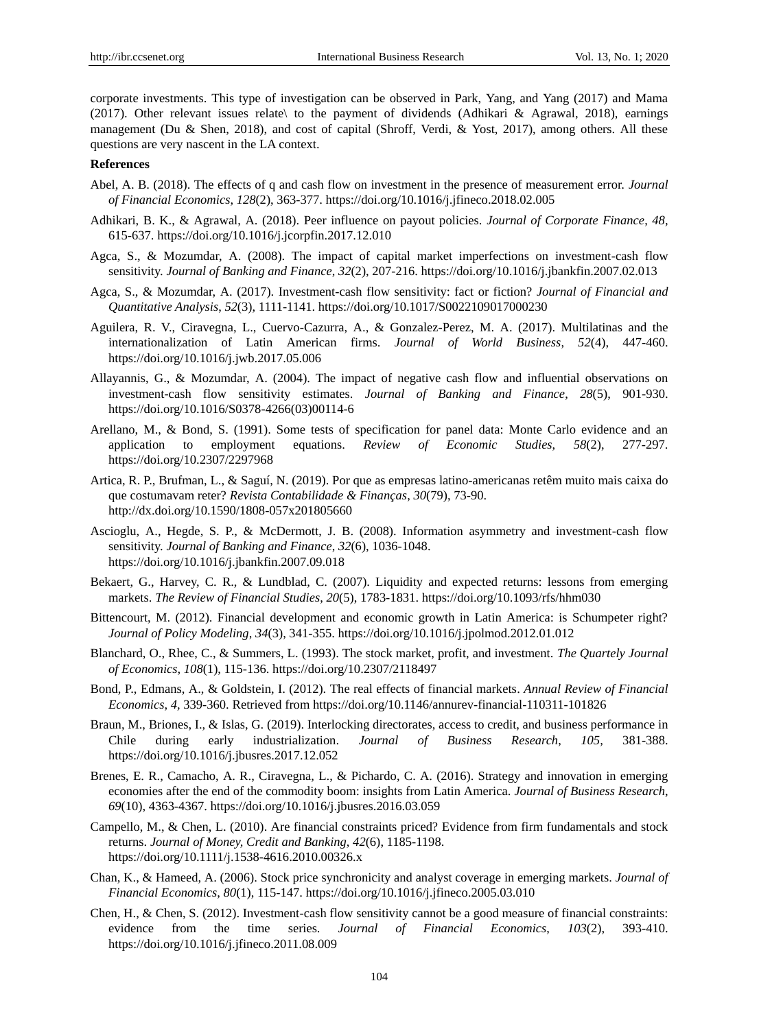corporate investments. This type of investigation can be observed in Park, Yang, and Yang (2017) and Mama (2017). Other relevant issues relate\ to the payment of dividends (Adhikari & Agrawal, 2018), earnings management (Du & Shen, 2018), and cost of capital (Shroff, Verdi, & Yost, 2017), among others. All these questions are very nascent in the LA context.

#### **References**

- Abel, A. B. (2018). The effects of q and cash flow on investment in the presence of measurement error. *Journal of Financial Economics*, *128*(2), 363-377. https://doi.org/10.1016/j.jfineco.2018.02.005
- Adhikari, B. K., & Agrawal, A. (2018). Peer influence on payout policies. *Journal of Corporate Finance*, *48,*  615-637. https://doi.org/10.1016/j.jcorpfin.2017.12.010
- Agca, S., & Mozumdar, A. (2008). The impact of capital market imperfections on investment-cash flow sensitivity. *Journal of Banking and Finance*, *32*(2), 207-216. https://doi.org/10.1016/j.jbankfin.2007.02.013
- Agca, S., & Mozumdar, A. (2017). Investment-cash flow sensitivity: fact or fiction? *Journal of Financial and Quantitative Analysis*, *52*(3), 1111-1141. https://doi.org/10.1017/S0022109017000230
- Aguilera, R. V., Ciravegna, L., Cuervo-Cazurra, A., & Gonzalez-Perez, M. A. (2017). Multilatinas and the internationalization of Latin American firms. *Journal of World Business*, *52*(4), 447-460. https://doi.org/10.1016/j.jwb.2017.05.006
- Allayannis, G., & Mozumdar, A. (2004). The impact of negative cash flow and influential observations on investment-cash flow sensitivity estimates. *Journal of Banking and Finance*, *28*(5), 901-930. https://doi.org/10.1016/S0378-4266(03)00114-6
- Arellano, M., & Bond, S. (1991). Some tests of specification for panel data: Monte Carlo evidence and an application to employment equations. *Review of Economic Studies*, *58*(2), 277-297. https://doi.org/10.2307/2297968
- Artica, R. P., Brufman, L., & Saguí, N. (2019). Por que as empresas latino-americanas retêm muito mais caixa do que costumavam reter? *Revista Contabilidade & Finanças*, *30*(79), 73-90. http://dx.doi.org/10.1590/1808-057x201805660
- Ascioglu, A., Hegde, S. P., & McDermott, J. B. (2008). Information asymmetry and investment-cash flow sensitivity. *Journal of Banking and Finance*, *32*(6), 1036-1048. https://doi.org/10.1016/j.jbankfin.2007.09.018
- Bekaert, G., Harvey, C. R., & Lundblad, C. (2007). Liquidity and expected returns: lessons from emerging markets. *The Review of Financial Studies*, *20*(5), 1783-1831. https://doi.org/10.1093/rfs/hhm030
- Bittencourt, M. (2012). Financial development and economic growth in Latin America: is Schumpeter right? *Journal of Policy Modeling*, *34*(3), 341-355. https://doi.org/10.1016/j.jpolmod.2012.01.012
- Blanchard, O., Rhee, C., & Summers, L. (1993). The stock market, profit, and investment. *The Quartely Journal of Economics*, *108*(1), 115-136. https://doi.org/10.2307/2118497
- Bond, P., Edmans, A., & Goldstein, I. (2012). The real effects of financial markets. *Annual Review of Financial Economics*, *4,* 339-360. Retrieved from https://doi.org/10.1146/annurev-financial-110311-101826
- Braun, M., Briones, I., & Islas, G. (2019). Interlocking directorates, access to credit, and business performance in Chile during early industrialization. *Journal of Business Research*, *105,* 381-388. https://doi.org/10.1016/j.jbusres.2017.12.052
- Brenes, E. R., Camacho, A. R., Ciravegna, L., & Pichardo, C. A. (2016). Strategy and innovation in emerging economies after the end of the commodity boom: insights from Latin America. *Journal of Business Research*, *69*(10), 4363-4367. https://doi.org/10.1016/j.jbusres.2016.03.059
- Campello, M., & Chen, L. (2010). Are financial constraints priced? Evidence from firm fundamentals and stock returns. *Journal of Money, Credit and Banking*, *42*(6), 1185-1198. https://doi.org/10.1111/j.1538-4616.2010.00326.x
- Chan, K., & Hameed, A. (2006). Stock price synchronicity and analyst coverage in emerging markets. *Journal of Financial Economics*, *80*(1), 115-147. https://doi.org/10.1016/j.jfineco.2005.03.010
- Chen, H., & Chen, S. (2012). Investment-cash flow sensitivity cannot be a good measure of financial constraints: evidence from the time series. *Journal of Financial Economics*, *103*(2), 393-410. https://doi.org/10.1016/j.jfineco.2011.08.009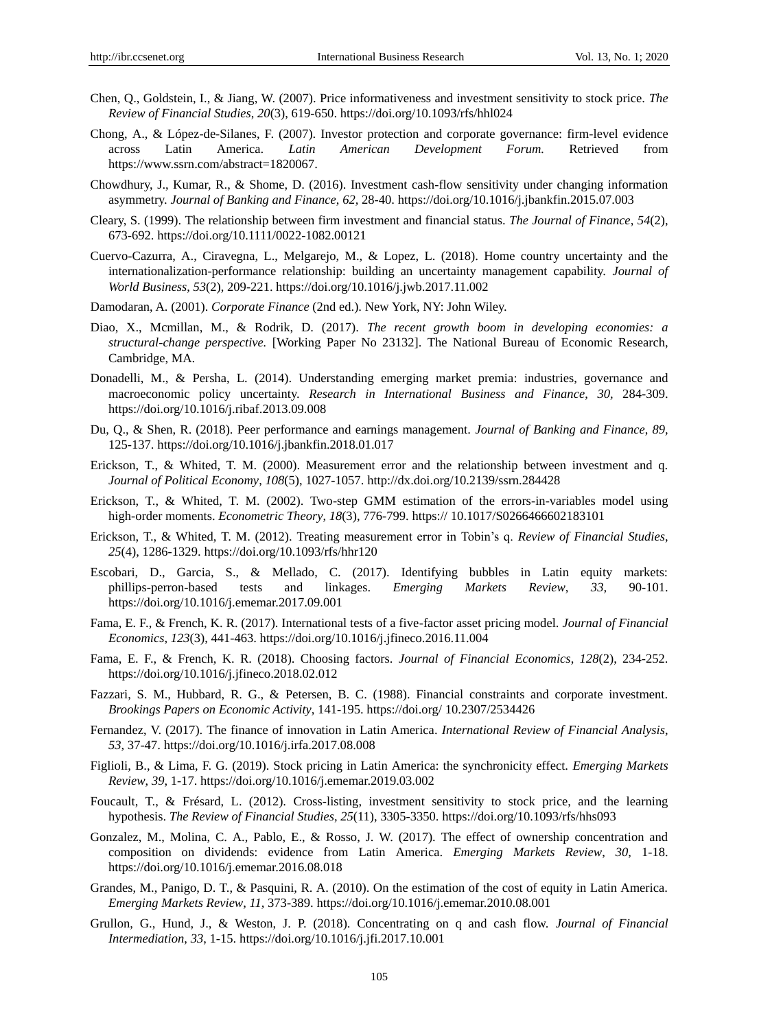- Chen, Q., Goldstein, I., & Jiang, W. (2007). Price informativeness and investment sensitivity to stock price. *The Review of Financial Studies*, *20*(3), 619-650. https://doi.org/10.1093/rfs/hhl024
- Chong, A., & López-de-Silanes, F. (2007). Investor protection and corporate governance: firm-level evidence across Latin America. *Latin American Development Forum.* Retrieved from https://www.ssrn.com/abstract=1820067.
- Chowdhury, J., Kumar, R., & Shome, D. (2016). Investment cash-flow sensitivity under changing information asymmetry. *Journal of Banking and Finance*, *62,* 28-40. https://doi.org/10.1016/j.jbankfin.2015.07.003
- Cleary, S. (1999). The relationship between firm investment and financial status. *The Journal of Finance*, *54*(2), 673-692. https://doi.org/10.1111/0022-1082.00121
- Cuervo-Cazurra, A., Ciravegna, L., Melgarejo, M., & Lopez, L. (2018). Home country uncertainty and the internationalization-performance relationship: building an uncertainty management capability. *Journal of World Business*, *53*(2), 209-221. https://doi.org/10.1016/j.jwb.2017.11.002
- Damodaran, A. (2001). *Corporate Finance* (2nd ed.). New York, NY: John Wiley.
- Diao, X., Mcmillan, M., & Rodrik, D. (2017). *The recent growth boom in developing economies: a structural-change perspective.* [Working Paper No 23132]. The National Bureau of Economic Research, Cambridge, MA.
- Donadelli, M., & Persha, L. (2014). Understanding emerging market premia: industries, governance and macroeconomic policy uncertainty. *Research in International Business and Finance*, *30,* 284-309. https://doi.org/10.1016/j.ribaf.2013.09.008
- Du, Q., & Shen, R. (2018). Peer performance and earnings management. *Journal of Banking and Finance*, *89,*  125-137. https://doi.org/10.1016/j.jbankfin.2018.01.017
- Erickson, T., & Whited, T. M. (2000). Measurement error and the relationship between investment and q. *Journal of Political Economy*, *108*(5), 1027-1057. http://dx.doi.org/10.2139/ssrn.284428
- Erickson, T., & Whited, T. M. (2002). Two-step GMM estimation of the errors-in-variables model using high-order moments. *Econometric Theory*, *18*(3), 776-799. https:// 10.1017/S0266466602183101
- Erickson, T., & Whited, T. M. (2012). Treating measurement error in Tobin's q. *Review of Financial Studies*, *25*(4), 1286-1329. https://doi.org/10.1093/rfs/hhr120
- Escobari, D., Garcia, S., & Mellado, C. (2017). Identifying bubbles in Latin equity markets: phillips-perron-based tests and linkages. *Emerging Markets Review*, *33,* 90-101. https://doi.org/10.1016/j.ememar.2017.09.001
- Fama, E. F., & French, K. R. (2017). International tests of a five-factor asset pricing model. *Journal of Financial Economics*, *123*(3), 441-463. https://doi.org/10.1016/j.jfineco.2016.11.004
- Fama, E. F., & French, K. R. (2018). Choosing factors. *Journal of Financial Economics*, *128*(2), 234-252. https://doi.org/10.1016/j.jfineco.2018.02.012
- Fazzari, S. M., Hubbard, R. G., & Petersen, B. C. (1988). Financial constraints and corporate investment. *Brookings Papers on Economic Activity*, 141-195. https://doi.org/ 10.2307/2534426
- Fernandez, V. (2017). The finance of innovation in Latin America. *International Review of Financial Analysis*, *53,* 37-47. https://doi.org/10.1016/j.irfa.2017.08.008
- Figlioli, B., & Lima, F. G. (2019). Stock pricing in Latin America: the synchronicity effect. *Emerging Markets Review*, *39*, 1-17. https://doi.org/10.1016/j.ememar.2019.03.002
- Foucault, T., & Frésard, L. (2012). Cross-listing, investment sensitivity to stock price, and the learning hypothesis. *The Review of Financial Studies*, *25*(11), 3305-3350. https://doi.org/10.1093/rfs/hhs093
- Gonzalez, M., Molina, C. A., Pablo, E., & Rosso, J. W. (2017). The effect of ownership concentration and composition on dividends: evidence from Latin America. *Emerging Markets Review*, *30,* 1-18. https://doi.org/10.1016/j.ememar.2016.08.018
- Grandes, M., Panigo, D. T., & Pasquini, R. A. (2010). On the estimation of the cost of equity in Latin America. *Emerging Markets Review*, *11,* 373-389. https://doi.org/10.1016/j.ememar.2010.08.001
- Grullon, G., Hund, J., & Weston, J. P. (2018). Concentrating on q and cash flow. *Journal of Financial Intermediation*, *33*, 1-15. https://doi.org/10.1016/j.jfi.2017.10.001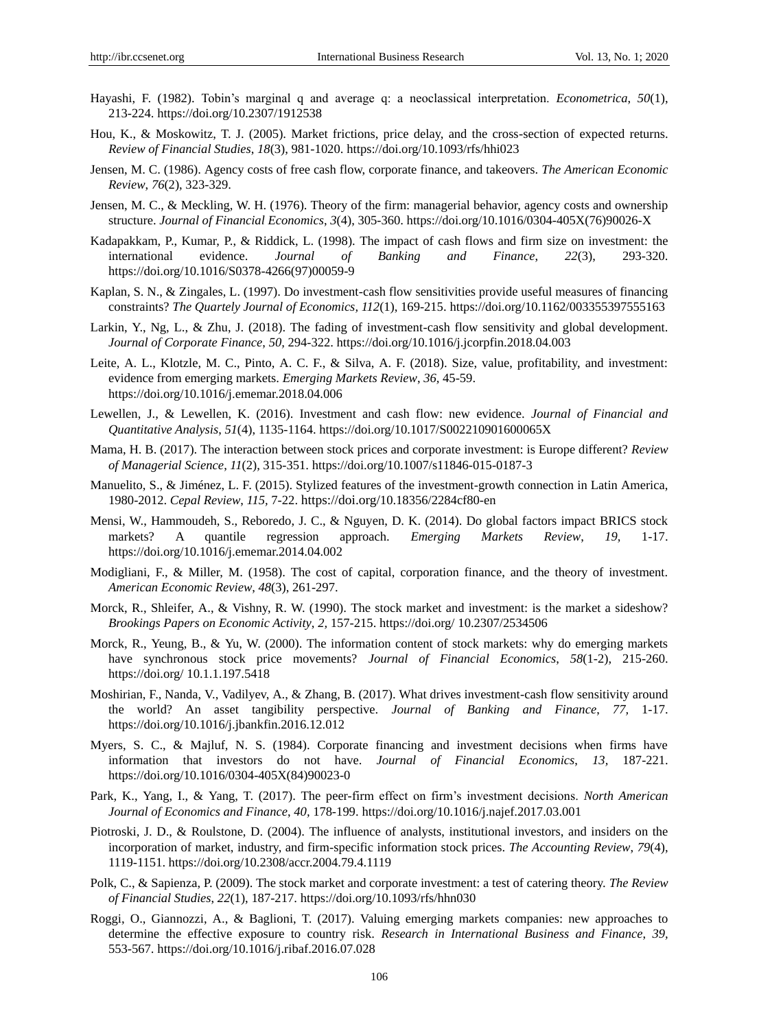- Hayashi, F. (1982). Tobin's marginal q and average q: a neoclassical interpretation. *Econometrica*, *50*(1), 213-224. https://doi.org/10.2307/1912538
- Hou, K., & Moskowitz, T. J. (2005). Market frictions, price delay, and the cross-section of expected returns. *Review of Financial Studies*, *18*(3), 981-1020. https://doi.org/10.1093/rfs/hhi023
- Jensen, M. C. (1986). Agency costs of free cash flow, corporate finance, and takeovers. *The American Economic Review*, *76*(2), 323-329.
- Jensen, M. C., & Meckling, W. H. (1976). Theory of the firm: managerial behavior, agency costs and ownership structure. *Journal of Financial Economics*, *3*(4), 305-360. https://doi.org/10.1016/0304-405X(76)90026-X
- Kadapakkam, P., Kumar, P., & Riddick, L. (1998). The impact of cash flows and firm size on investment: the international evidence. *Journal of Banking and Finance*, *22*(3), 293-320. https://doi.org/10.1016/S0378-4266(97)00059-9
- Kaplan, S. N., & Zingales, L. (1997). Do investment-cash flow sensitivities provide useful measures of financing constraints? *The Quartely Journal of Economics, 112*(1), 169-215. https://doi.org/10.1162/003355397555163
- Larkin, Y., Ng, L., & Zhu, J. (2018). The fading of investment-cash flow sensitivity and global development. *Journal of Corporate Finance*, *50,* 294-322. https://doi.org/10.1016/j.jcorpfin.2018.04.003
- Leite, A. L., Klotzle, M. C., Pinto, A. C. F., & Silva, A. F. (2018). Size, value, profitability, and investment: evidence from emerging markets. *Emerging Markets Review*, *36,* 45-59. https://doi.org/10.1016/j.ememar.2018.04.006
- Lewellen, J., & Lewellen, K. (2016). Investment and cash flow: new evidence. *Journal of Financial and Quantitative Analysis*, *51*(4), 1135-1164. https://doi.org/10.1017/S002210901600065X
- Mama, H. B. (2017). The interaction between stock prices and corporate investment: is Europe different? *Review of Managerial Science*, *11*(2), 315-351. https://doi.org/10.1007/s11846-015-0187-3
- Manuelito, S., & Jiménez, L. F. (2015). Stylized features of the investment-growth connection in Latin America, 1980-2012. *Cepal Review*, *115,* 7-22. https://doi.org/10.18356/2284cf80-en
- Mensi, W., Hammoudeh, S., Reboredo, J. C., & Nguyen, D. K. (2014). Do global factors impact BRICS stock markets? A quantile regression approach. *Emerging Markets Review*, *19,* 1-17. https://doi.org/10.1016/j.ememar.2014.04.002
- Modigliani, F., & Miller, M. (1958). The cost of capital, corporation finance, and the theory of investment. *American Economic Review*, *48*(3), 261-297.
- Morck, R., Shleifer, A., & Vishny, R. W. (1990). The stock market and investment: is the market a sideshow? *Brookings Papers on Economic Activity*, *2,* 157-215. https://doi.org/ 10.2307/2534506
- Morck, R., Yeung, B., & Yu, W. (2000). The information content of stock markets: why do emerging markets have synchronous stock price movements? *Journal of Financial Economics*, *58*(1-2), 215-260. https://doi.org/ 10.1.1.197.5418
- Moshirian, F., Nanda, V., Vadilyev, A., & Zhang, B. (2017). What drives investment-cash flow sensitivity around the world? An asset tangibility perspective. *Journal of Banking and Finance*, *77,* 1-17. https://doi.org/10.1016/j.jbankfin.2016.12.012
- Myers, S. C., & Majluf, N. S. (1984). Corporate financing and investment decisions when firms have information that investors do not have. *Journal of Financial Economics*, *13,* 187-221. https://doi.org/10.1016/0304-405X(84)90023-0
- Park, K., Yang, I., & Yang, T. (2017). The peer-firm effect on firm's investment decisions. *North American Journal of Economics and Finance*, *40,* 178-199. https://doi.org/10.1016/j.najef.2017.03.001
- Piotroski, J. D., & Roulstone, D. (2004). The influence of analysts, institutional investors, and insiders on the incorporation of market, industry, and firm-specific information stock prices. *The Accounting Review*, *79*(4), 1119-1151. https://doi.org/10.2308/accr.2004.79.4.1119
- Polk, C., & Sapienza, P. (2009). The stock market and corporate investment: a test of catering theory. *The Review of Financial Studies*, *22*(1), 187-217. https://doi.org/10.1093/rfs/hhn030
- Roggi, O., Giannozzi, A., & Baglioni, T. (2017). Valuing emerging markets companies: new approaches to determine the effective exposure to country risk. *Research in International Business and Finance*, *39,*  553-567. https://doi.org/10.1016/j.ribaf.2016.07.028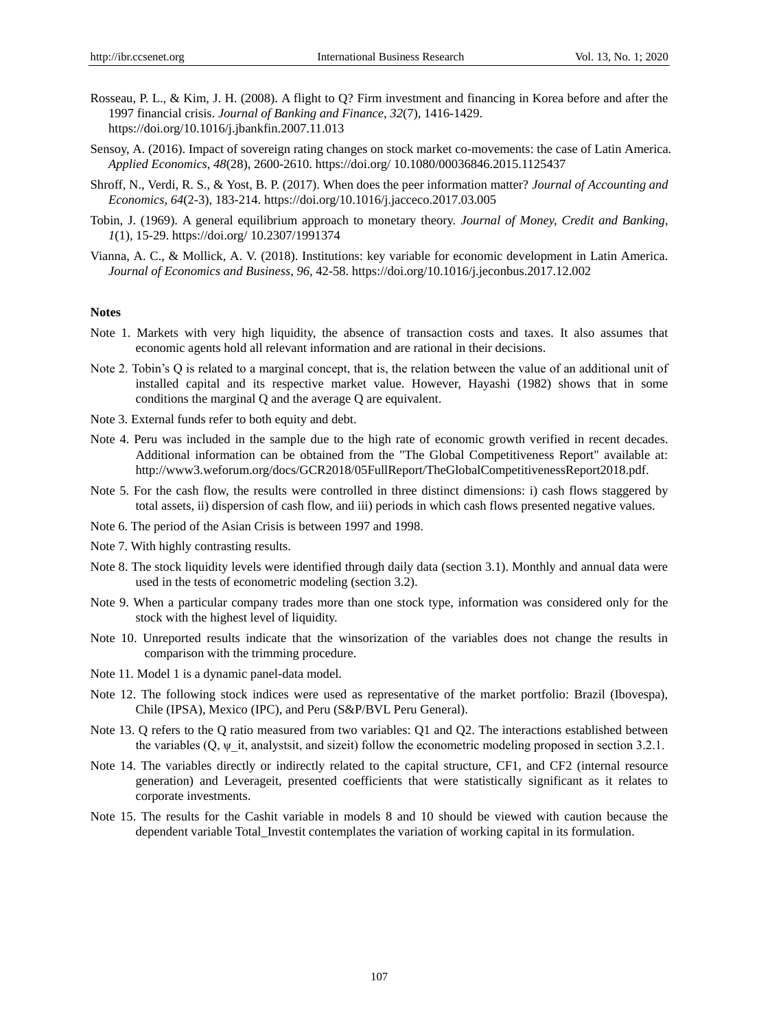- Rosseau, P. L., & Kim, J. H. (2008). A flight to Q? Firm investment and financing in Korea before and after the 1997 financial crisis. *Journal of Banking and Finance*, *32*(7), 1416-1429. https://doi.org/10.1016/j.jbankfin.2007.11.013
- Sensoy, A. (2016). Impact of sovereign rating changes on stock market co-movements: the case of Latin America. *Applied Economics*, *48*(28), 2600-2610. https://doi.org/ 10.1080/00036846.2015.1125437
- Shroff, N., Verdi, R. S., & Yost, B. P. (2017). When does the peer information matter? *Journal of Accounting and Economics*, *64*(2-3), 183-214. https://doi.org/10.1016/j.jacceco.2017.03.005
- Tobin, J. (1969). A general equilibrium approach to monetary theory. *Journal of Money, Credit and Banking*, *1*(1), 15-29. https://doi.org/ 10.2307/1991374
- Vianna, A. C., & Mollick, A. V. (2018). Institutions: key variable for economic development in Latin America. *Journal of Economics and Business*, *96,* 42-58. https://doi.org/10.1016/j.jeconbus.2017.12.002

# **Notes**

- Note 1. Markets with very high liquidity, the absence of transaction costs and taxes. It also assumes that economic agents hold all relevant information and are rational in their decisions.
- Note 2. Tobin's Q is related to a marginal concept, that is, the relation between the value of an additional unit of installed capital and its respective market value. However, Hayashi (1982) shows that in some conditions the marginal Q and the average Q are equivalent.
- Note 3. External funds refer to both equity and debt.
- Note 4. Peru was included in the sample due to the high rate of economic growth verified in recent decades. Additional information can be obtained from the "The Global Competitiveness Report" available at: http://www3.weforum.org/docs/GCR2018/05FullReport/TheGlobalCompetitivenessReport2018.pdf.
- Note 5. For the cash flow, the results were controlled in three distinct dimensions: i) cash flows staggered by total assets, ii) dispersion of cash flow, and iii) periods in which cash flows presented negative values.
- Note 6. The period of the Asian Crisis is between 1997 and 1998.
- Note 7. With highly contrasting results.
- Note 8. The stock liquidity levels were identified through daily data (section 3.1). Monthly and annual data were used in the tests of econometric modeling (section 3.2).
- Note 9. When a particular company trades more than one stock type, information was considered only for the stock with the highest level of liquidity.
- Note 10. Unreported results indicate that the winsorization of the variables does not change the results in comparison with the trimming procedure.
- Note 11. Model 1 is a dynamic panel-data model.
- Note 12. The following stock indices were used as representative of the market portfolio: Brazil (Ibovespa), Chile (IPSA), Mexico (IPC), and Peru (S&P/BVL Peru General).
- Note 13. Q refers to the Q ratio measured from two variables: Q1 and Q2. The interactions established between the variables  $(Q, \psi)$  it, analystsit, and sizeit) follow the econometric modeling proposed in section 3.2.1.
- Note 14. The variables directly or indirectly related to the capital structure, CF1, and CF2 (internal resource generation) and Leverageit, presented coefficients that were statistically significant as it relates to corporate investments.
- Note 15. The results for the Cashit variable in models 8 and 10 should be viewed with caution because the dependent variable Total\_Investit contemplates the variation of working capital in its formulation.